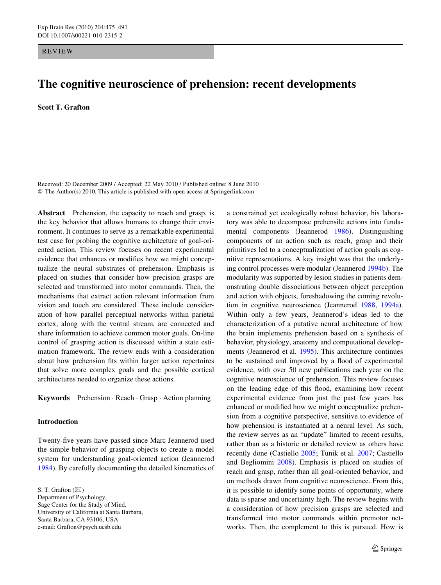REVIEW

# **The cognitive neuroscience of prehension: recent developments**

**Scott T. Grafton** 

Received: 20 December 2009 / Accepted: 22 May 2010 / Published online: 8 June 2010 © The Author(s) 2010. This article is published with open access at Springerlink.com

**Abstract** Prehension, the capacity to reach and grasp, is the key behavior that allows humans to change their environment. It continues to serve as a remarkable experimental test case for probing the cognitive architecture of goal-oriented action. This review focuses on recent experimental evidence that enhances or modifies how we might conceptualize the neural substrates of prehension. Emphasis is placed on studies that consider how precision grasps are selected and transformed into motor commands. Then, the mechanisms that extract action relevant information from vision and touch are considered. These include consideration of how parallel perceptual networks within parietal cortex, along with the ventral stream, are connected and share information to achieve common motor goals. On-line control of grasping action is discussed within a state estimation framework. The review ends with a consideration about how prehension fits within larger action repertoires that solve more complex goals and the possible cortical architectures needed to organize these actions.

**Keywords** Prehension · Reach · Grasp · Action planning

## **Introduction**

Twenty-five years have passed since Marc Jeannerod used the simple behavior of grasping objects to create a model system for understanding goal-oriented action (Jeannerod [1984](#page-13-0)). By carefully documenting the detailed kinematics of

S. T. Grafton  $(\boxtimes)$ 

Department of Psychology, Sage Center for the Study of Mind, University of California at Santa Barbara, Santa Barbara, CA 93106, USA e-mail: Grafton@psych.ucsb.edu

a constrained yet ecologically robust behavior, his laboratory was able to decompose prehensile actions into fundamental components (Jeannerod [1986](#page-14-0)). Distinguishing components of an action such as reach, grasp and their primitives led to a conceptualization of action goals as cognitive representations. A key insight was that the underlying control processes were modular (Jeannerod [1994b\)](#page-14-1). The modularity was supported by lesion studies in patients demonstrating double dissociations between object perception and action with objects, foreshadowing the coming revolution in cognitive neuroscience (Jeannerod [1988,](#page-14-2) [1994a](#page-14-3)). Within only a few years, Jeannerod's ideas led to the characterization of a putative neural architecture of how the brain implements prehension based on a synthesis of behavior, physiology, anatomy and computational developments (Jeannerod et al. [1995](#page-14-4)). This architecture continues to be sustained and improved by a flood of experimental evidence, with over 50 new publications each year on the cognitive neuroscience of prehension. This review focuses on the leading edge of this flood, examining how recent experimental evidence from just the past few years has enhanced or modified how we might conceptualize prehension from a cognitive perspective, sensitive to evidence of how prehension is instantiated at a neural level. As such, the review serves as an "update" limited to recent results, rather than as a historic or detailed review as others have recently done (Castiello [2005;](#page-12-0) Tunik et al. [2007;](#page-15-0) Castiello and Begliomini [2008](#page-12-1)). Emphasis is placed on studies of reach and grasp, rather than all goal-oriented behavior, and on methods drawn from cognitive neuroscience. From this, it is possible to identify some points of opportunity, where data is sparse and uncertainty high. The review begins with a consideration of how precision grasps are selected and transformed into motor commands within premotor networks. Then, the complement to this is pursued. How is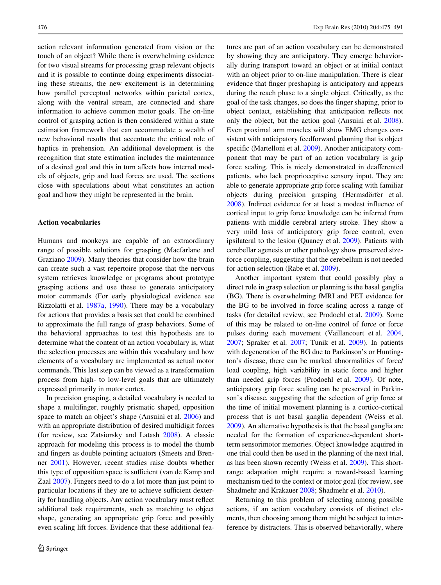action relevant information generated from vision or the touch of an object? While there is overwhelming evidence for two visual streams for processing grasp relevant objects and it is possible to continue doing experiments dissociating these streams, the new excitement is in determining how parallel perceptual networks within parietal cortex, along with the ventral stream, are connected and share information to achieve common motor goals. The on-line control of grasping action is then considered within a state estimation framework that can accommodate a wealth of new behavioral results that accentuate the critical role of haptics in prehension. An additional development is the recognition that state estimation includes the maintenance of a desired goal and this in turn affects how internal models of objects, grip and load forces are used. The sections close with speculations about what constitutes an action goal and how they might be represented in the brain.

#### **Action vocabularies**

Humans and monkeys are capable of an extraordinary range of possible solutions for grasping (Macfarlane and Graziano [2009](#page-14-5)). Many theories that consider how the brain can create such a vast repertoire propose that the nervous system retrieves knowledge or programs about prototype grasping actions and use these to generate anticipatory motor commands (For early physiological evidence see Rizzolatti et al. [1987a,](#page-15-1) [1990\)](#page-15-2). There may be a vocabulary for actions that provides a basis set that could be combined to approximate the full range of grasp behaviors. Some of the behavioral approaches to test this hypothesis are to determine what the content of an action vocabulary is, what the selection processes are within this vocabulary and how elements of a vocabulary are implemented as actual motor commands. This last step can be viewed as a transformation process from high- to low-level goals that are ultimately expressed primarily in motor cortex.

In precision grasping, a detailed vocabulary is needed to shape a multifinger, roughly prismatic shaped, opposition space to match an object's shape (Ansuini et al. [2006](#page-12-2)) and with an appropriate distribution of desired multidigit forces (for review, see Zatsiorsky and Latash [2008\)](#page-16-0). A classic approach for modeling this process is to model the thumb and fingers as double pointing actuators (Smeets and Brenner [2001](#page-15-3)). However, recent studies raise doubts whether this type of opposition space is sufficient (van de Kamp and Zaal [2007](#page-15-4)). Fingers need to do a lot more than just point to particular locations if they are to achieve sufficient dexterity for handling objects. Any action vocabulary must reflect additional task requirements, such as matching to object shape, generating an appropriate grip force and possibly even scaling lift forces. Evidence that these additional features are part of an action vocabulary can be demonstrated by showing they are anticipatory. They emerge behaviorally during transport toward an object or at initial contact with an object prior to on-line manipulation. There is clear evidence that finger preshaping is anticipatory and appears during the reach phase to a single object. Critically, as the goal of the task changes, so does the finger shaping, prior to object contact, establishing that anticipation reflects not only the object, but the action goal (Ansuini et al. [2008](#page-12-3)). Even proximal arm muscles will show EMG changes consistent with anticipatory feedforward planning that is object specific (Martelloni et al. [2009](#page-14-6)). Another anticipatory component that may be part of an action vocabulary is grip force scaling. This is nicely demonstrated in deafferented patients, who lack proprioceptive sensory input. They are able to generate appropriate grip force scaling with familiar objects during precision grasping (Hermsdörfer et al. [2008](#page-13-1)). Indirect evidence for at least a modest influence of cortical input to grip force knowledge can be inferred from patients with middle cerebral artery stroke. They show a very mild loss of anticipatory grip force control, even ipsilateral to the lesion (Quaney et al. [2009\)](#page-14-7). Patients with cerebellar agenesis or other pathology show preserved sizeforce coupling, suggesting that the cerebellum is not needed for action selection (Rabe et al. [2009\)](#page-14-8).

Another important system that could possibly play a direct role in grasp selection or planning is the basal ganglia (BG). There is overwhelming fMRI and PET evidence for the BG to be involved in force scaling across a range of tasks (for detailed review, see Prodoehl et al. [2009\)](#page-14-9). Some of this may be related to on-line control of force or force pulses during each movement (Vaillancourt et al. [2004,](#page-15-5) [2007](#page-15-6); Spraker et al. [2007;](#page-15-7) Tunik et al. [2009\)](#page-15-8). In patients with degeneration of the BG due to Parkinson's or Huntington's disease, there can be marked abnormalities of force/ load coupling, high variability in static force and higher than needed grip forces (Prodoehl et al. [2009\)](#page-14-9). Of note, anticipatory grip force scaling can be preserved in Parkinson's disease, suggesting that the selection of grip force at the time of initial movement planning is a cortico-cortical process that is not basal ganglia dependent (Weiss et al. [2009](#page-15-9)). An alternative hypothesis is that the basal ganglia are needed for the formation of experience-dependent shortterm sensorimotor memories. Object knowledge acquired in one trial could then be used in the planning of the next trial, as has been shown recently (Weiss et al. [2009\)](#page-15-9). This shortrange adaptation might require a reward-based learning mechanism tied to the context or motor goal (for review, see Shadmehr and Krakauer [2008;](#page-15-10) Shadmehr et al. [2010](#page-15-11)).

Returning to this problem of selecting among possible actions, if an action vocabulary consists of distinct elements, then choosing among them might be subject to interference by distracters. This is observed behaviorally, where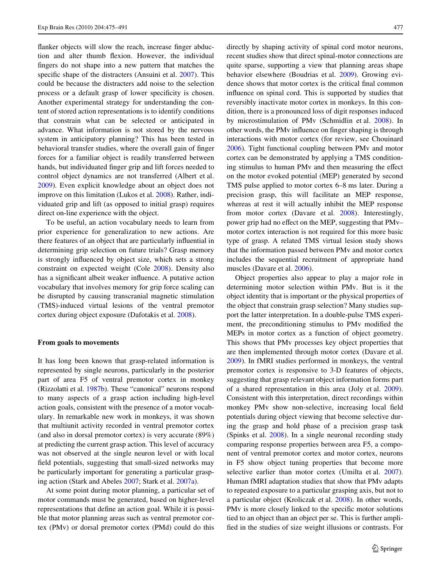flanker objects will slow the reach, increase finger abduction and alter thumb flexion. However, the individual fingers do not shape into a new pattern that matches the specific shape of the distracters (Ansuini et al. [2007](#page-12-4)). This could be because the distracters add noise to the selection process or a default grasp of lower specificity is chosen. Another experimental strategy for understanding the content of stored action representations is to identify conditions that constrain what can be selected or anticipated in advance. What information is not stored by the nervous system in anticipatory planning? This has been tested in behavioral transfer studies, where the overall gain of finger forces for a familiar object is readily transferred between hands, but individuated finger grip and lift forces needed to control object dynamics are not transferred (Albert et al. [2009](#page-12-5)). Even explicit knowledge about an object does not improve on this limitation (Lukos et al. [2008](#page-14-10)). Rather, individuated grip and lift (as opposed to initial grasp) requires direct on-line experience with the object.

To be useful, an action vocabulary needs to learn from prior experience for generalization to new actions. Are there features of an object that are particularly influential in determining grip selection on future trials? Grasp memory is strongly influenced by object size, which sets a strong constraint on expected weight (Cole [2008](#page-13-2)). Density also has a significant albeit weaker influence. A putative action vocabulary that involves memory for grip force scaling can be disrupted by causing transcranial magnetic stimulation (TMS)-induced virtual lesions of the ventral premotor cortex during object exposure (Dafotakis et al. [2008](#page-13-3)).

#### **From goals to movements**

It has long been known that grasp-related information is represented by single neurons, particularly in the posterior part of area F5 of ventral premotor cortex in monkey (Rizzolatti et al. [1987b](#page-15-12)). These "canonical" neurons respond to many aspects of a grasp action including high-level action goals, consistent with the presence of a motor vocabulary. In remarkable new work in monkeys, it was shown that multiunit activity recorded in ventral premotor cortex (and also in dorsal premotor cortex) is very accurate (89%) at predicting the current grasp action. This level of accuracy was not observed at the single neuron level or with local field potentials, suggesting that small-sized networks may be particularly important for generating a particular grasping action (Stark and Abeles [2007](#page-15-13); Stark et al. [2007a\)](#page-15-14).

At some point during motor planning, a particular set of motor commands must be generated, based on higher-level representations that define an action goal. While it is possible that motor planning areas such as ventral premotor cortex (PMv) or dorsal premotor cortex (PMd) could do this directly by shaping activity of spinal cord motor neurons, recent studies show that direct spinal-motor connections are quite sparse, supporting a view that planning areas shape behavior elsewhere (Boudrias et al. [2009](#page-12-6)). Growing evidence shows that motor cortex is the critical final common influence on spinal cord. This is supported by studies that reversibly inactivate motor cortex in monkeys. In this condition, there is a pronounced loss of digit responses induced by microstimulation of PMv (Schmidlin et al. [2008](#page-15-15)). In other words, the PMv influence on finger shaping is through interactions with motor cortex (for review, see Chouinard [2006](#page-12-7)). Tight functional coupling between PMv and motor cortex can be demonstrated by applying a TMS conditioning stimulus to human PMv and then measuring the effect on the motor evoked potential (MEP) generated by second TMS pulse applied to motor cortex 6–8 ms later. During a precision grasp, this will facilitate an MEP response, whereas at rest it will actually inhibit the MEP response from motor cortex (Davare et al. [2008\)](#page-13-4). Interestingly, power grip had no effect on the MEP, suggesting that PMv– motor cortex interaction is not required for this more basic type of grasp. A related TMS virtual lesion study shows that the information passed between PMv and motor cortex includes the sequential recruitment of appropriate hand muscles (Davare et al. [2006](#page-13-5)).

Object properties also appear to play a major role in determining motor selection within PMv. But is it the object identity that is important or the physical properties of the object that constrain grasp selection? Many studies support the latter interpretation. In a double-pulse TMS experiment, the preconditioning stimulus to PMv modified the MEPs in motor cortex as a function of object geometry. This shows that PMv processes key object properties that are then implemented through motor cortex (Davare et al. [2009](#page-13-6)). In fMRI studies performed in monkeys, the ventral premotor cortex is responsive to 3-D features of objects, suggesting that grasp relevant object information forms part of a shared representation in this area (Joly et al. [2009](#page-14-11)). Consistent with this interpretation, direct recordings within monkey PMv show non-selective, increasing local field potentials during object viewing that become selective during the grasp and hold phase of a precision grasp task (Spinks et al. [2008\)](#page-15-16). In a single neuronal recording study comparing response properties between area F5, a component of ventral premotor cortex and motor cortex, neurons in F5 show object tuning properties that become more selective earlier than motor cortex (Umilta et al. [2007](#page-15-17)). Human fMRI adaptation studies that show that PMv adapts to repeated exposure to a particular grasping axis, but not to a particular object (Kroliczak et al. [2008](#page-14-12)). In other words, PMv is more closely linked to the specific motor solutions tied to an object than an object per se. This is further amplified in the studies of size weight illusions or contrasts. For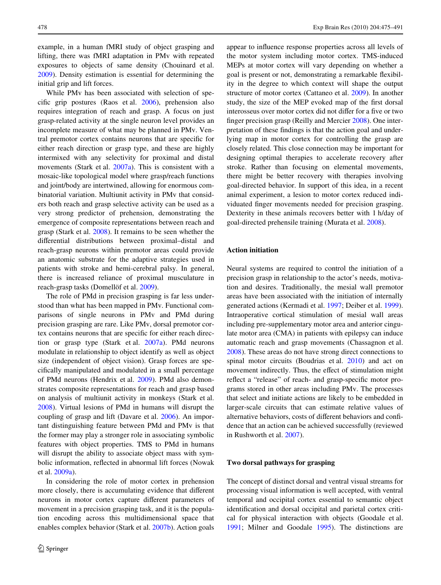example, in a human fMRI study of object grasping and lifting, there was fMRI adaptation in PMv with repeated exposures to objects of same density (Chouinard et al. [2009](#page-13-7)). Density estimation is essential for determining the initial grip and lift forces.

While PMv has been associated with selection of specific grip postures (Raos et al.  $2006$ ), prehension also requires integration of reach and grasp. A focus on just grasp-related activity at the single neuron level provides an incomplete measure of what may be planned in PMv. Ventral premotor cortex contains neurons that are specific for either reach direction or grasp type, and these are highly intermixed with any selectivity for proximal and distal movements (Stark et al. [2007a](#page-15-14)). This is consistent with a mosaic-like topological model where grasp/reach functions and joint/body are intertwined, allowing for enormous combinatorial variation. Multiunit activity in PMv that considers both reach and grasp selective activity can be used as a very strong predictor of prehension, demonstrating the emergence of composite representations between reach and grasp (Stark et al. [2008](#page-15-18)). It remains to be seen whether the differential distributions between proximal–distal and reach-grasp neurons within premotor areas could provide an anatomic substrate for the adaptive strategies used in patients with stroke and hemi-cerebral palsy. In general, there is increased reliance of proximal musculature in reach-grasp tasks (Domellöf et al. [2009\)](#page-13-8).

The role of PMd in precision grasping is far less understood than what has been mapped in PMv. Functional comparisons of single neurons in PMv and PMd during precision grasping are rare. Like PMv, dorsal premotor cortex contains neurons that are specific for either reach direction or grasp type (Stark et al. [2007a\)](#page-15-14). PMd neurons modulate in relationship to object identify as well as object size (independent of object vision). Grasp forces are specifically manipulated and modulated in a small percentage of PMd neurons (Hendrix et al. [2009\)](#page-13-9). PMd also demonstrates composite representations for reach and grasp based on analysis of multiunit activity in monkeys (Stark et al. [2008](#page-15-18)). Virtual lesions of PMd in humans will disrupt the coupling of grasp and lift (Davare et al. [2006](#page-13-5)). An important distinguishing feature between PMd and PMv is that the former may play a stronger role in associating symbolic features with object properties. TMS to PMd in humans will disrupt the ability to associate object mass with symbolic information, reflected in abnormal lift forces (Nowak et al. [2009a](#page-14-14)).

In considering the role of motor cortex in prehension more closely, there is accumulating evidence that different neurons in motor cortex capture different parameters of movement in a precision grasping task, and it is the population encoding across this multidimensional space that enables complex behavior (Stark et al. [2007b\)](#page-15-19). Action goals appear to influence response properties across all levels of the motor system including motor cortex. TMS-induced MEPs at motor cortex will vary depending on whether a goal is present or not, demonstrating a remarkable flexibility in the degree to which context will shape the output structure of motor cortex (Cattaneo et al. [2009](#page-12-8)). In another study, the size of the MEP evoked map of the first dorsal interosseus over motor cortex did not differ for a five or two finger precision grasp (Reilly and Mercier  $2008$ ). One interpretation of these findings is that the action goal and underlying map in motor cortex for controlling the grasp are closely related. This close connection may be important for designing optimal therapies to accelerate recovery after stroke. Rather than focusing on elemental movements, there might be better recovery with therapies involving goal-directed behavior. In support of this idea, in a recent animal experiment, a lesion to motor cortex reduced individuated finger movements needed for precision grasping. Dexterity in these animals recovers better with 1 h/day of goal-directed prehensile training (Murata et al. [2008](#page-14-15)).

## **Action initiation**

Neural systems are required to control the initiation of a precision grasp in relationship to the actor's needs, motivation and desires. Traditionally, the mesial wall premotor areas have been associated with the initiation of internally generated actions (Kermadi et al. [1997](#page-14-16); Deiber et al. [1999](#page-13-10)). Intraoperative cortical stimulation of mesial wall areas including pre-supplementary motor area and anterior cingulate motor area (CMA) in patients with epilepsy can induce automatic reach and grasp movements (Chassagnon et al. [2008](#page-12-9)). These areas do not have strong direct connections to spinal motor circuits (Boudrias et al. [2010\)](#page-12-10) and act on movement indirectly. Thus, the effect of stimulation might reflect a "release" of reach- and grasp-specific motor programs stored in other areas including PMv. The processes that select and initiate actions are likely to be embedded in larger-scale circuits that can estimate relative values of alternative behaviors, costs of different behaviors and confidence that an action can be achieved successfully (reviewed in Rushworth et al. [2007\)](#page-15-21).

## **Two dorsal pathways for grasping**

The concept of distinct dorsal and ventral visual streams for processing visual information is well accepted, with ventral temporal and occipital cortex essential to semantic object identification and dorsal occipital and parietal cortex critical for physical interaction with objects (Goodale et al. [1991](#page-13-11); Milner and Goodale [1995](#page-14-17)). The distinctions are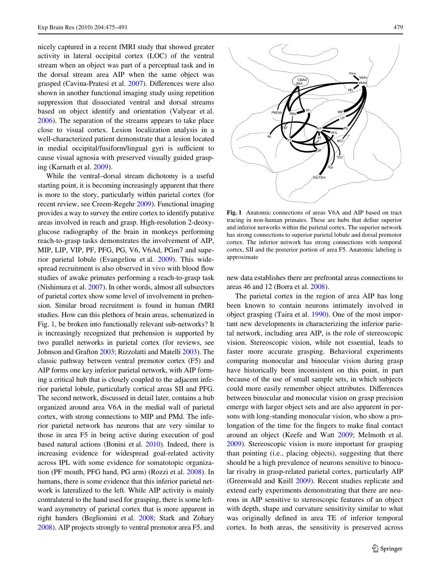nicely captured in a recent fMRI study that showed greater activity in lateral occipital cortex (LOC) of the ventral stream when an object was part of a perceptual task and in the dorsal stream area AIP when the same object was grasped (Cavina-Pratesi et al. [2007](#page-12-11)). Differences were also shown in another functional imaging study using repetition suppression that dissociated ventral and dorsal streams based on object identify and orientation (Valyear et al. [2006](#page-15-22)). The separation of the streams appears to take place close to visual cortex. Lesion localization analysis in a well-characterized patient demonstrate that a lesion located in medial occipital/fusiform/lingual gyri is sufficient to cause visual agnosia with preserved visually guided grasping (Karnath et al. [2009](#page-14-18)).

While the ventral–dorsal stream dichotomy is a useful starting point, it is becoming increasingly apparent that there is more to the story, particularly within parietal cortex (for recent review, see Creem-Regehr [2009](#page-13-12)). Functional imaging provides a way to survey the entire cortex to identify putative areas involved in reach and grasp. High-resolution 2-deoxyglucose radiography of the brain in monkeys performing reach-to-grasp tasks demonstrates the involvement of AIP, MIP, LIP, VIP, PF, PFG, PG, V6, V6Ad, PGm7 and superior parietal lobule (Evangeliou et al. [2009](#page-13-13)). This widespread recruitment is also observed in vivo with blood flow studies of awake primates performing a reach-to-grasp task (Nishimura et al. [2007\)](#page-14-19). In other words, almost all subsectors of parietal cortex show some level of involvement in prehension. Similar broad recruitment is found in human fMRI studies. How can this plethora of brain areas, schematized in Fig. [1,](#page-4-0) be broken into functionally relevant sub-networks? It is increasingly recognized that prehension is supported by two parallel networks in parietal cortex (for reviews, see Johnson and Grafton [2003](#page-14-20); Rizzolatti and Matelli [2003\)](#page-15-23). The classic pathway between ventral premotor cortex (F5) and AIP forms one key inferior parietal network, with AIP forming a critical hub that is closely coupled to the adjacent inferior parietal lobule, particularly cortical areas SII and PFG. The second network, discussed in detail later, contains a hub organized around area V6A in the medial wall of parietal cortex, with strong connections to MIP and PMd. The inferior parietal network has neurons that are very similar to those in area F5 in being active during execution of goal based natural actions (Bonini et al. [2010](#page-12-12)). Indeed, there is increasing evidence for widespread goal-related activity across IPL with some evidence for somatotopic organization (PF mouth, PFG hand, PG arm) (Rozzi et al. [2008](#page-15-24)). In humans, there is some evidence that this inferior parietal network is lateralized to the left. While AIP activity is mainly contralateral to the hand used for grasping, there is some leftward asymmetry of parietal cortex that is more apparent in right handers (Begliomini et al. [2008](#page-12-13); Stark and Zohary [2008\)](#page-15-25). AIP projects strongly to ventral premotor area F5, and



<span id="page-4-0"></span>**Fig. 1** Anatomic connections of areas V6A and AIP based on tract tracing in non-human primates. These are hubs that define superior and inferior networks within the parietal cortex. The superior network has strong connections to superior parietal lobule and dorsal premotor cortex. The inferior network has strong connections with temporal cortex, SII and the posterior portion of area F5. Anatomic labeling is approximate

new data establishes there are prefrontal areas connections to areas 46 and 12 (Borra et al. [2008\)](#page-12-14).

The parietal cortex in the region of area AIP has long been known to contain neurons intimately involved in object grasping (Taira et al. [1990](#page-15-26)). One of the most important new developments in characterizing the inferior parietal network, including area AIP, is the role of stereoscopic vision. Stereoscopic vision, while not essential, leads to faster more accurate grasping. Behavioral experiments comparing monocular and binocular vision during grasp have historically been inconsistent on this point, in part because of the use of small sample sets, in which subjects could more easily remember object attributes. Differences between binocular and monocular vision on grasp precision emerge with larger object sets and are also apparent in persons with long-standing monocular vision, who show a prolongation of the time for the fingers to make final contact around an object (Keefe and Watt [2009](#page-14-21); Melmoth et al. [2009](#page-14-22)). Stereoscopic vision is more important for grasping than pointing (i.e., placing objects), suggesting that there should be a high prevalence of neurons sensitive to binocular rivalry in grasp-related parietal cortex, particularly AIP (Greenwald and Knill [2009](#page-13-14)). Recent studies replicate and extend early experiments demonstrating that there are neurons in AIP sensitive to stereoscopic features of an object with depth, shape and curvature sensitivity similar to what was originally defined in area TE of inferior temporal cortex. In both areas, the sensitivity is preserved across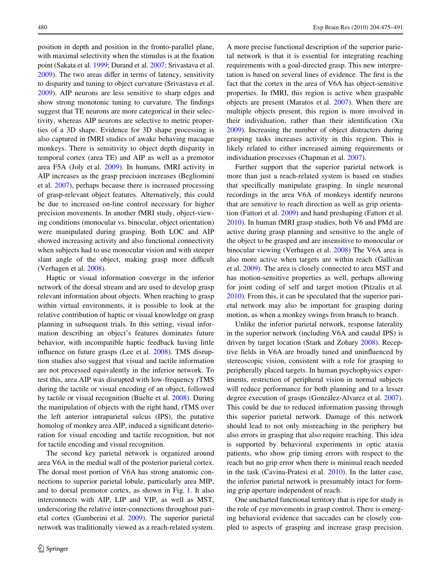position in depth and position in the fronto-parallel plane, with maximal selectivity when the stimulus is at the fixation point (Sakata et al. [1999](#page-15-27); Durand et al. [2007](#page-13-15); Srivastava et al.  $2009$ ). The two areas differ in terms of latency, sensitivity to disparity and tuning to object curvature (Srivastava et al. [2009](#page-15-28)). AIP neurons are less sensitive to sharp edges and show strong monotonic tuning to curvature. The findings suggest that TE neurons are more categorical in their selectivity, whereas AIP neurons are selective to metric properties of a 3D shape. Evidence for 3D shape processing is also captured in fMRI studies of awake behaving macaque monkeys. There is sensitivity to object depth disparity in temporal cortex (area TE) and AIP as well as a premotor area F5A (Joly et al. [2009](#page-14-11)). In humans, fMRI activity in AIP increases as the grasp precision increases (Begliomini et al. [2007\)](#page-12-15), perhaps because there is increased processing of grasp-relevant object features. Alternatively, this could be due to increased on-line control necessary for higher precision movements. In another fMRI study, object-viewing conditions (monocular vs. binocular, object orientation) were manipulated during grasping. Both LOC and AIP showed increasing activity and also functional connectivity when subjects had to use monocular vision and with steeper slant angle of the object, making grasp more difficult (Verhagen et al. [2008\)](#page-15-29).

Haptic or visual information converge in the inferior network of the dorsal stream and are used to develop grasp relevant information about objects. When reaching to grasp within virtual environments, it is possible to look at the relative contribution of haptic or visual knowledge on grasp planning in subsequent trials. In this setting, visual information describing an object's features dominates future behavior, with incompatible haptic feedback having little influence on future grasps (Lee et al. [2008](#page-14-23)). TMS disruption studies also suggest that visual and tactile information are not processed equivalently in the inferior network. To test this, area AIP was disrupted with low-frequency rTMS during the tactile or visual encoding of an object, followed by tactile or visual recognition (Buelte et al. [2008](#page-12-16)). During the manipulation of objects with the right hand, rTMS over the left anterior intraparietal sulcus (IPS), the putative homolog of monkey area AIP, induced a significant deterioration for visual encoding and tactile recognition, but not for tactile encoding and visual recognition.

The second key parietal network is organized around area V6A in the medial wall of the posterior parietal cortex. The dorsal most portion of V6A has strong anatomic connections to superior parietal lobule, particularly area MIP, and to dorsal premotor cortex, as shown in Fig. [1](#page-4-0). It also interconnects with AIP, LIP and VIP, as well as MST, underscoring the relative inter-connections throughout parietal cortex (Gamberini et al. [2009\)](#page-13-16). The superior parietal network was traditionally viewed as a reach-related system.

A more precise functional description of the superior parietal network is that it is essential for integrating reaching requirements with a goal-directed grasp. This new interpretation is based on several lines of evidence. The first is the fact that the cortex in the area of V6A has object-sensitive properties. In fMRI, this region is active when graspable objects are present (Maratos et al. [2007\)](#page-14-24). When there are multiple objects present, this region is more involved in their individuation, rather than their identification (Xu [2009](#page-16-1)). Increasing the number of object distracters during grasping tasks increases activity in this region. This is likely related to either increased aiming requirements or individuation processes (Chapman et al. [2007\)](#page-12-17).

Further support that the superior parietal network is more than just a reach-related system is based on studies that specifically manipulate grasping. In single neuronal recordings in the area V6A of monkeys identify neurons that are sensitive to reach direction as well as grip orientation (Fattori et al. [2009\)](#page-13-17) and hand preshaping (Fattori et al. [2010](#page-13-18)). In human fMRI grasp studies, both V6 and PMd are active during grasp planning and sensitive to the angle of the object to be grasped and are insensitive to monocular or binocular viewing (Verhagen et al. [2008](#page-15-29)) The V6A area is also more active when targets are within reach (Gallivan et al. [2009](#page-13-19)). The area is closely connected to area MST and has motion-sensitive properties as well, perhaps allowing for joint coding of self and target motion (Pitzalis et al. [2010](#page-14-25)). From this, it can be speculated that the superior parietal network may also be important for grasping during motion, as when a monkey swings from branch to branch.

Unlike the inferior parietal network, response laterality in the superior network (including V6A and caudal IPS) is driven by target location (Stark and Zohary [2008\)](#page-15-25). Receptive fields in V6A are broadly tuned and uninfluenced by stereoscopic vision, consistent with a role for grasping to peripherally placed targets. In human psychophysics experiments, restriction of peripheral vision in normal subjects will reduce performance for both planning and to a lesser degree execution of grasps (González-Alvarez et al. [2007](#page-13-20)). This could be due to reduced information passing through this superior parietal network. Damage of this network should lead to not only misreaching in the periphery but also errors in grasping that also require reaching. This idea is supported by behavioral experiments in optic ataxia patients, who show grip timing errors with respect to the reach but no grip error when there is minimal reach needed in the task (Cavina-Pratesi et al. [2010\)](#page-12-18). In the latter case, the inferior parietal network is presumably intact for forming grip aperture independent of reach.

One uncharted functional territory that is ripe for study is the role of eye movements in grasp control. There is emerging behavioral evidence that saccades can be closely coupled to aspects of grasping and increase grasp precision.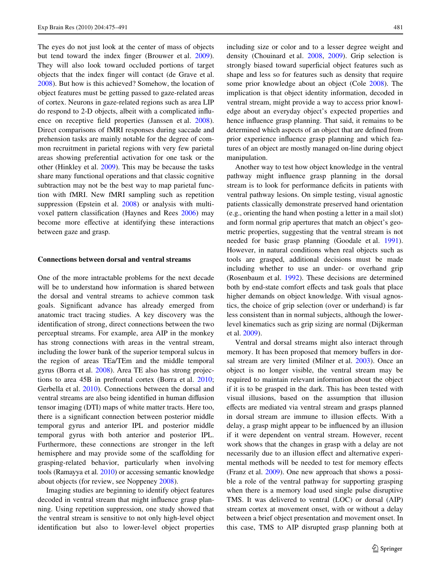The eyes do not just look at the center of mass of objects but tend toward the index finger (Brouwer et al. [2009](#page-12-19)). They will also look toward occluded portions of target objects that the index finger will contact (de Grave et al. [2008](#page-13-21)). But how is this achieved? Somehow, the location of object features must be getting passed to gaze-related areas of cortex. Neurons in gaze-related regions such as area LIP do respond to 2-D objects, albeit with a complicated influ-ence on receptive field properties (Janssen et al. [2008](#page-13-22)). Direct comparisons of fMRI responses during saccade and prehension tasks are mainly notable for the degree of common recruitment in parietal regions with very few parietal areas showing preferential activation for one task or the other (Hinkley et al. [2009\)](#page-13-23). This may be because the tasks share many functional operations and that classic cognitive subtraction may not be the best way to map parietal function with fMRI. New fMRI sampling such as repetition suppression (Epstein et al. [2008\)](#page-13-24) or analysis with multi-voxel pattern classification (Haynes and Rees [2006\)](#page-13-25) may become more effective at identifying these interactions between gaze and grasp.

#### **Connections between dorsal and ventral streams**

One of the more intractable problems for the next decade will be to understand how information is shared between the dorsal and ventral streams to achieve common task goals. Significant advance has already emerged from anatomic tract tracing studies. A key discovery was the identification of strong, direct connections between the two perceptual streams. For example, area AIP in the monkey has strong connections with areas in the ventral stream, including the lower bank of the superior temporal sulcus in the region of areas TEa/TEm and the middle temporal gyrus (Borra et al. [2008\)](#page-12-14). Area TE also has strong projections to area 45B in prefrontal cortex (Borra et al. [2010](#page-12-20); Gerbella et al. [2010\)](#page-13-26). Connections between the dorsal and ventral streams are also being identified in human diffusion tensor imaging (DTI) maps of white matter tracts. Here too, there is a significant connection between posterior middle temporal gyrus and anterior IPL and posterior middle temporal gyrus with both anterior and posterior IPL. Furthermore, these connections are stronger in the left hemisphere and may provide some of the scaffolding for grasping-related behavior, particularly when involving tools (Ramayya et al. [2010\)](#page-14-26) or accessing semantic knowledge about objects (for review, see Noppeney [2008](#page-14-27)).

Imaging studies are beginning to identify object features decoded in ventral stream that might influence grasp planning. Using repetition suppression, one study showed that the ventral stream is sensitive to not only high-level object identification but also to lower-level object properties including size or color and to a lesser degree weight and density (Chouinard et al. [2008](#page-12-21), [2009\)](#page-13-7). Grip selection is strongly biased toward superficial object features such as shape and less so for features such as density that require some prior knowledge about an object (Cole [2008\)](#page-13-2). The implication is that object identity information, decoded in ventral stream, might provide a way to access prior knowledge about an everyday object's expected properties and hence influence grasp planning. That said, it remains to be determined which aspects of an object that are defined from prior experience influence grasp planning and which features of an object are mostly managed on-line during object manipulation.

Another way to test how object knowledge in the ventral pathway might influence grasp planning in the dorsal stream is to look for performance deficits in patients with ventral pathway lesions. On simple testing, visual agnostic patients classically demonstrate preserved hand orientation (e.g., orienting the hand when posting a letter in a mail slot) and form normal grip apertures that match an object's geometric properties, suggesting that the ventral stream is not needed for basic grasp planning (Goodale et al. [1991](#page-13-11)). However, in natural conditions when real objects such as tools are grasped, additional decisions must be made including whether to use an under- or overhand grip (Rosenbaum et al. [1992](#page-15-30)). These decisions are determined both by end-state comfort effects and task goals that place higher demands on object knowledge. With visual agnostics, the choice of grip selection (over or underhand) is far less consistent than in normal subjects, although the lowerlevel kinematics such as grip sizing are normal (Dijkerman et al. [2009](#page-13-27)).

Ventral and dorsal streams might also interact through memory. It has been proposed that memory buffers in dorsal stream are very limited (Milner et al. [2003](#page-14-28)). Once an object is no longer visible, the ventral stream may be required to maintain relevant information about the object if it is to be grasped in the dark. This has been tested with visual illusions, based on the assumption that illusion effects are mediated via ventral stream and grasps planned in dorsal stream are immune to illusion effects. With a delay, a grasp might appear to be influenced by an illusion if it were dependent on ventral stream. However, recent work shows that the changes in grasp with a delay are not necessarily due to an illusion effect and alternative experimental methods will be needed to test for memory effects (Franz et al. [2009\)](#page-13-28). One new approach that shows a possible a role of the ventral pathway for supporting grasping when there is a memory load used single pulse disruptive TMS. It was delivered to ventral (LOC) or dorsal (AIP) stream cortex at movement onset, with or without a delay between a brief object presentation and movement onset. In this case, TMS to AIP disrupted grasp planning both at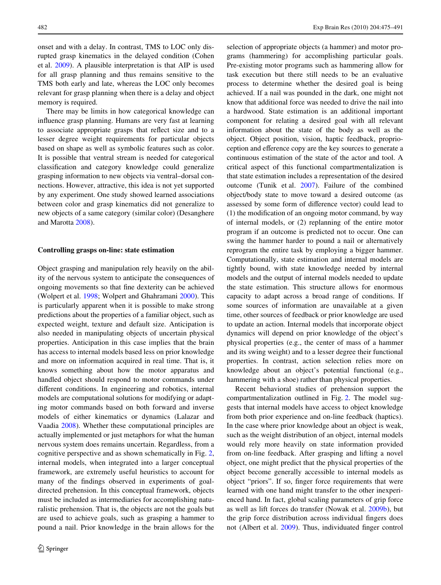onset and with a delay. In contrast, TMS to LOC only disrupted grasp kinematics in the delayed condition (Cohen et al. [2009](#page-13-29)). A plausible interpretation is that AIP is used for all grasp planning and thus remains sensitive to the TMS both early and late, whereas the LOC only becomes relevant for grasp planning when there is a delay and object memory is required.

There may be limits in how categorical knowledge can influence grasp planning. Humans are very fast at learning to associate appropriate grasps that reflect size and to a lesser degree weight requirements for particular objects based on shape as well as symbolic features such as color. It is possible that ventral stream is needed for categorical classification and category knowledge could generalize grasping information to new objects via ventral–dorsal connections. However, attractive, this idea is not yet supported by any experiment. One study showed learned associations between color and grasp kinematics did not generalize to new objects of a same category (similar color) (Desanghere and Marotta [2008](#page-13-30)).

## **Controlling grasps on-line: state estimation**

Object grasping and manipulation rely heavily on the ability of the nervous system to anticipate the consequences of ongoing movements so that fine dexterity can be achieved (Wolpert et al. [1998](#page-16-2); Wolpert and Ghahramani [2000\)](#page-16-3). This is particularly apparent when it is possible to make strong predictions about the properties of a familiar object, such as expected weight, texture and default size. Anticipation is also needed in manipulating objects of uncertain physical properties. Anticipation in this case implies that the brain has access to internal models based less on prior knowledge and more on information acquired in real time. That is, it knows something about how the motor apparatus and handled object should respond to motor commands under different conditions. In engineering and robotics, internal models are computational solutions for modifying or adapting motor commands based on both forward and inverse models of either kinematics or dynamics (Lalazar and Vaadia [2008\)](#page-14-29). Whether these computational principles are actually implemented or just metaphors for what the human nervous system does remains uncertain. Regardless, from a cognitive perspective and as shown schematically in Fig. [2,](#page-8-0) internal models, when integrated into a larger conceptual framework, are extremely useful heuristics to account for many of the findings observed in experiments of goaldirected prehension. In this conceptual framework, objects must be included as intermediaries for accomplishing naturalistic prehension. That is, the objects are not the goals but are used to achieve goals, such as grasping a hammer to pound a nail. Prior knowledge in the brain allows for the selection of appropriate objects (a hammer) and motor programs (hammering) for accomplishing particular goals. Pre-existing motor programs such as hammering allow for task execution but there still needs to be an evaluative process to determine whether the desired goal is being achieved. If a nail was pounded in the dark, one might not know that additional force was needed to drive the nail into a hardwood. State estimation is an additional important component for relating a desired goal with all relevant information about the state of the body as well as the object. Object position, vision, haptic feedback, proprioception and efference copy are the key sources to generate a continuous estimation of the state of the actor and tool. A critical aspect of this functional compartmentalization is that state estimation includes a representation of the desired outcome (Tunik et al. [2007\)](#page-15-0). Failure of the combined object/body state to move toward a desired outcome (as assessed by some form of difference vector) could lead to  $(1)$  the modification of an ongoing motor command, by way of internal models, or (2) replanning of the entire motor program if an outcome is predicted not to occur. One can swing the hammer harder to pound a nail or alternatively reprogram the entire task by employing a bigger hammer. Computationally, state estimation and internal models are tightly bound, with state knowledge needed by internal models and the output of internal models needed to update the state estimation. This structure allows for enormous capacity to adapt across a broad range of conditions. If some sources of information are unavailable at a given time, other sources of feedback or prior knowledge are used to update an action. Internal models that incorporate object dynamics will depend on prior knowledge of the object's physical properties (e.g., the center of mass of a hammer and its swing weight) and to a lesser degree their functional properties. In contrast, action selection relies more on knowledge about an object's potential functional (e.g., hammering with a shoe) rather than physical properties.

Recent behavioral studies of prehension support the compartmentalization outlined in Fig. [2.](#page-8-0) The model suggests that internal models have access to object knowledge from both prior experience and on-line feedback (haptics). In the case where prior knowledge about an object is weak, such as the weight distribution of an object, internal models would rely more heavily on state information provided from on-line feedback. After grasping and lifting a novel object, one might predict that the physical properties of the object become generally accessible to internal models as object "priors". If so, finger force requirements that were learned with one hand might transfer to the other inexperienced hand. In fact, global scaling parameters of grip force as well as lift forces do transfer (Nowak et al. [2009b](#page-14-30)), but the grip force distribution across individual fingers does not (Albert et al. [2009](#page-12-5)). Thus, individuated finger control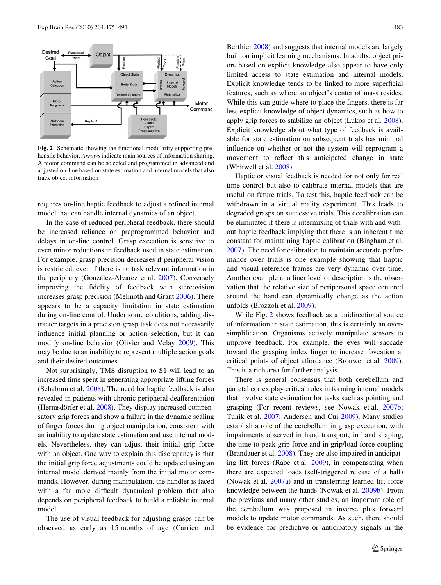

<span id="page-8-0"></span>**Fig. 2** Schematic showing the functional modularity supporting prehensile behavior. *Arrows* indicate main sources of information sharing. A motor command can be selected and programmed in advanced and adjusted on-line based on state estimation and internal models that also track object information

requires on-line haptic feedback to adjust a refined internal model that can handle internal dynamics of an object.

In the case of reduced peripheral feedback, there should be increased reliance on preprogrammed behavior and delays in on-line control. Grasp execution is sensitive to even minor reductions in feedback used in state estimation. For example, grasp precision decreases if peripheral vision is restricted, even if there is no task relevant information in the periphery (González-Alvarez et al. [2007\)](#page-13-20). Conversely improving the fidelity of feedback with stereovision increases grasp precision (Melmoth and Grant [2006\)](#page-14-31). There appears to be a capacity limitation in state estimation during on-line control. Under some conditions, adding distracter targets in a precision grasp task does not necessarily influence initial planning or action selection, but it can modify on-line behavior (Olivier and Velay [2009\)](#page-14-32). This may be due to an inability to represent multiple action goals and their desired outcomes.

Not surprisingly, TMS disruption to S1 will lead to an increased time spent in generating appropriate lifting forces (Schabrun et al. [2008\)](#page-15-31). The need for haptic feedback is also revealed in patients with chronic peripheral deafferentation (Hermsdörfer et al. [2008](#page-13-1)). They display increased compensatory grip forces and show a failure in the dynamic scaling of finger forces during object manipulation, consistent with an inability to update state estimation and use internal models. Nevertheless, they can adjust their initial grip force with an object. One way to explain this discrepancy is that the initial grip force adjustments could be updated using an internal model derived mainly from the initial motor commands. However, during manipulation, the handler is faced with a far more difficult dynamical problem that also depends on peripheral feedback to build a reliable internal model.

The use of visual feedback for adjusting grasps can be observed as early as 15 months of age (Carrico and Berthier [2008](#page-12-22)) and suggests that internal models are largely built on implicit learning mechanisms. In adults, object priors based on explicit knowledge also appear to have only limited access to state estimation and internal models. Explicit knowledge tends to be linked to more superficial features, such as where an object's center of mass resides. While this can guide where to place the fingers, there is far less explicit knowledge of object dynamics, such as how to apply grip forces to stabilize an object (Lukos et al. [2008](#page-14-10)). Explicit knowledge about what type of feedback is available for state estimation on subsequent trials has minimal influence on whether or not the system will reprogram a movement to reflect this anticipated change in state (Whitwell et al. [2008](#page-16-4)).

Haptic or visual feedback is needed for not only for real time control but also to calibrate internal models that are useful on future trials. To test this, haptic feedback can be withdrawn in a virtual reality experiment. This leads to degraded grasps on successive trials. This decalibration can be eliminated if there is intermixing of trials with and without haptic feedback implying that there is an inherent time constant for maintaining haptic calibration (Bingham et al. [2007](#page-12-23)). The need for calibration to maintain accurate performance over trials is one example showing that haptic and visual reference frames are very dynamic over time. Another example at a finer level of description is the observation that the relative size of peripersonal space centered around the hand can dynamically change as the action unfolds (Brozzoli et al. [2009\)](#page-12-24).

While Fig. [2](#page-8-0) shows feedback as a unidirectional source of information in state estimation, this is certainly an oversimplification. Organisms actively manipulate sensors to improve feedback. For example, the eyes will saccade toward the grasping index finger to increase foveation at critical points of object affordance (Brouwer et al. [2009](#page-12-19)). This is a rich area for further analysis.

There is general consensus that both cerebellum and parietal cortex play critical roles in forming internal models that involve state estimation for tasks such as pointing and grasping (For recent reviews, see Nowak et al. [2007b;](#page-14-33) Tunik et al. [2007](#page-15-0); Andersen and Cui [2009](#page-12-25)). Many studies establish a role of the cerebellum in grasp execution, with impairments observed in hand transport, in hand shaping, the time to peak grip force and in grip/load force coupling (Brandauer et al. [2008](#page-12-26)). They are also impaired in anticipating lift forces (Rabe et al. [2009](#page-14-8)), in compensating when there are expected loads (self-triggered release of a ball) (Nowak et al. [2007a](#page-14-34)) and in transferring learned lift force knowledge between the hands (Nowak et al. [2009b\)](#page-14-30). From the previous and many other studies, an important role of the cerebellum was proposed in inverse plus forward models to update motor commands. As such, there should be evidence for predictive or anticipatory signals in the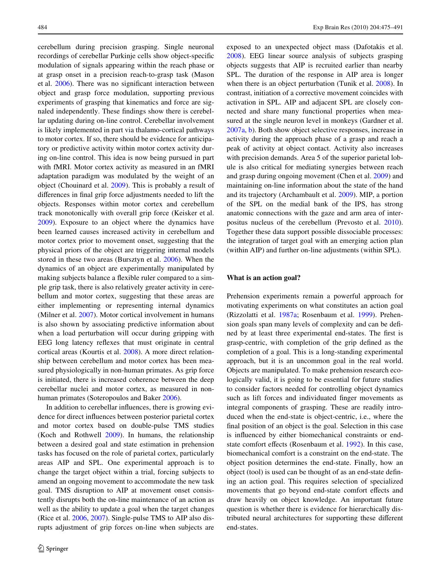cerebellum during precision grasping. Single neuronal recordings of cerebellar Purkinje cells show object-specific modulation of signals appearing within the reach phase or at grasp onset in a precision reach-to-grasp task (Mason et al.  $2006$ ). There was no significant interaction between object and grasp force modulation, supporting previous experiments of grasping that kinematics and force are signaled independently. These findings show there is cerebellar updating during on-line control. Cerebellar involvement is likely implemented in part via thalamo-cortical pathways to motor cortex. If so, there should be evidence for anticipatory or predictive activity within motor cortex activity during on-line control. This idea is now being pursued in part with fMRI. Motor cortex activity as measured in an fMRI adaptation paradigm was modulated by the weight of an object (Chouinard et al. [2009\)](#page-13-7). This is probably a result of differences in final grip force adjustments needed to lift the objects. Responses within motor cortex and cerebellum track monotonically with overall grip force (Keisker et al. [2009](#page-14-36)). Exposure to an object where the dynamics have been learned causes increased activity in cerebellum and motor cortex prior to movement onset, suggesting that the physical priors of the object are triggering internal models stored in these two areas (Bursztyn et al. [2006\)](#page-12-27). When the dynamics of an object are experimentally manipulated by making subjects balance a flexible ruler compared to a simple grip task, there is also relatively greater activity in cerebellum and motor cortex, suggesting that these areas are either implementing or representing internal dynamics (Milner et al. [2007](#page-14-37)). Motor cortical involvement in humans is also shown by associating predictive information about when a load perturbation will occur during gripping with EEG long latency reflexes that must originate in central cortical areas (Kourtis et al. [2008\)](#page-14-38). A more direct relationship between cerebellum and motor cortex has been measured physiologically in non-human primates. As grip force is initiated, there is increased coherence between the deep cerebellar nuclei and motor cortex, as measured in nonhuman primates (Soteropoulos and Baker [2006\)](#page-15-32).

In addition to cerebellar influences, there is growing evidence for direct influences between posterior parietal cortex and motor cortex based on double-pulse TMS studies (Koch and Rothwell [2009\)](#page-14-39). In humans, the relationship between a desired goal and state estimation in prehension tasks has focused on the role of parietal cortex, particularly areas AIP and SPL. One experimental approach is to change the target object within a trial, forcing subjects to amend an ongoing movement to accommodate the new task goal. TMS disruption to AIP at movement onset consistently disrupts both the on-line maintenance of an action as well as the ability to update a goal when the target changes (Rice et al. [2006](#page-15-33), [2007](#page-15-34)). Single-pulse TMS to AIP also disrupts adjustment of grip forces on-line when subjects are exposed to an unexpected object mass (Dafotakis et al. [2008](#page-13-3)). EEG linear source analysis of subjects grasping objects suggests that AIP is recruited earlier than nearby SPL. The duration of the response in AIP area is longer when there is an object perturbation (Tunik et al. [2008](#page-15-35)). In contrast, initiation of a corrective movement coincides with activation in SPL. AIP and adjacent SPL are closely connected and share many functional properties when measured at the single neuron level in monkeys (Gardner et al. [2007a,](#page-13-31) [b](#page-13-32)). Both show object selective responses, increase in activity during the approach phase of a grasp and reach a peak of activity at object contact. Activity also increases with precision demands. Area 5 of the superior parietal lobule is also critical for mediating synergies between reach and grasp during ongoing movement (Chen et al. [2009](#page-12-28)) and maintaining on-line information about the state of the hand and its trajectory (Archambault et al. [2009\)](#page-12-29). MIP, a portion of the SPL on the medial bank of the IPS, has strong anatomic connections with the gaze and arm area of interpositus nucleus of the cerebellum (Prevosto et al. [2010](#page-14-40)). Together these data support possible dissociable processes: the integration of target goal with an emerging action plan (within AIP) and further on-line adjustments (within SPL).

## **What is an action goal?**

Prehension experiments remain a powerful approach for motivating experiments on what constitutes an action goal (Rizzolatti et al. [1987a;](#page-15-1) Rosenbaum et al. [1999](#page-15-36)). Prehension goals span many levels of complexity and can be defined by at least three experimental end-states. The first is grasp-centric, with completion of the grip defined as the completion of a goal. This is a long-standing experimental approach, but it is an uncommon goal in the real world. Objects are manipulated. To make prehension research ecologically valid, it is going to be essential for future studies to consider factors needed for controlling object dynamics such as lift forces and individuated finger movements as integral components of grasping. These are readily introduced when the end-state is object-centric, i.e., where the final position of an object is the goal. Selection in this case is influenced by either biomechanical constraints or end-state comfort effects (Rosenbaum et al. [1992\)](#page-15-30). In this case, biomechanical comfort is a constraint on the end-state. The object position determines the end-state. Finally, how an object (tool) is used can be thought of as an end-state defining an action goal. This requires selection of specialized movements that go beyond end-state comfort effects and draw heavily on object knowledge. An important future question is whether there is evidence for hierarchically distributed neural architectures for supporting these different end-states.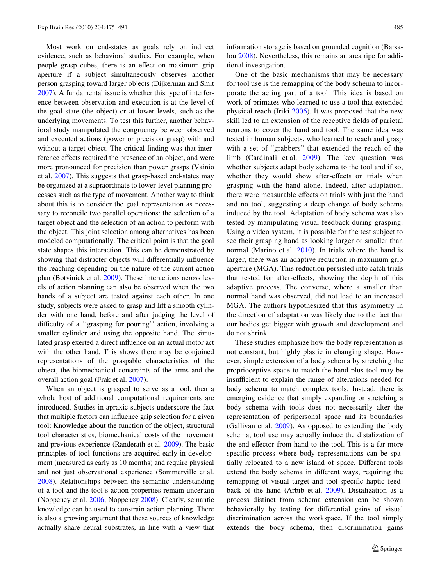Most work on end-states as goals rely on indirect evidence, such as behavioral studies. For example, when people grasp cubes, there is an effect on maximum grip aperture if a subject simultaneously observes another person grasping toward larger objects (Dijkerman and Smit [2007](#page-13-33)). A fundamental issue is whether this type of interference between observation and execution is at the level of the goal state (the object) or at lower levels, such as the underlying movements. To test this further, another behavioral study manipulated the congruency between observed and executed actions (power or precision grasp) with and without a target object. The critical finding was that interference effects required the presence of an object, and were more pronounced for precision than power grasps (Vainio et al. [2007](#page-15-37)). This suggests that grasp-based end-states may be organized at a supraordinate to lower-level planning processes such as the type of movement. Another way to think about this is to consider the goal representation as necessary to reconcile two parallel operations: the selection of a target object and the selection of an action to perform with the object. This joint selection among alternatives has been modeled computationally. The critical point is that the goal state shapes this interaction. This can be demonstrated by showing that distracter objects will differentially influence the reaching depending on the nature of the current action plan (Botvinick et al. [2009\)](#page-12-30). These interactions across levels of action planning can also be observed when the two hands of a subject are tested against each other. In one study, subjects were asked to grasp and lift a smooth cylinder with one hand, before and after judging the level of difficulty of a "grasping for pouring" action, involving a smaller cylinder and using the opposite hand. The simulated grasp exerted a direct influence on an actual motor act with the other hand. This shows there may be conjoined representations of the graspable characteristics of the object, the biomechanical constraints of the arms and the overall action goal (Frak et al. [2007](#page-13-34)).

When an object is grasped to serve as a tool, then a whole host of additional computational requirements are introduced. Studies in apraxic subjects underscore the fact that multiple factors can influence grip selection for a given tool: Knowledge about the function of the object, structural tool characteristics, biomechanical costs of the movement and previous experience (Randerath et al. [2009](#page-14-41)). The basic principles of tool functions are acquired early in development (measured as early as 10 months) and require physical and not just observational experience (Sommerville et al. [2008](#page-15-38)). Relationships between the semantic understanding of a tool and the tool's action properties remain uncertain (Noppeney et al. [2006;](#page-14-42) Noppeney [2008](#page-14-27)). Clearly, semantic knowledge can be used to constrain action planning. There is also a growing argument that these sources of knowledge actually share neural substrates, in line with a view that information storage is based on grounded cognition (Barsalou [2008\)](#page-12-31). Nevertheless, this remains an area ripe for additional investigation.

One of the basic mechanisms that may be necessary for tool use is the remapping of the body schema to incorporate the acting part of a tool. This idea is based on work of primates who learned to use a tool that extended physical reach (Iriki [2006\)](#page-13-35). It was proposed that the new skill led to an extension of the receptive fields of parietal neurons to cover the hand and tool. The same idea was tested in human subjects, who learned to reach and grasp with a set of "grabbers" that extended the reach of the limb (Cardinali et al. [2009\)](#page-12-32). The key question was whether subjects adapt body schema to the tool and if so, whether they would show after-effects on trials when grasping with the hand alone. Indeed, after adaptation, there were measurable effects on trials with just the hand and no tool, suggesting a deep change of body schema induced by the tool. Adaptation of body schema was also tested by manipulating visual feedback during grasping. Using a video system, it is possible for the test subject to see their grasping hand as looking larger or smaller than normal (Marino et al. [2010](#page-14-43)). In trials where the hand is larger, there was an adaptive reduction in maximum grip aperture (MGA). This reduction persisted into catch trials that tested for after-effects, showing the depth of this adaptive process. The converse, where a smaller than normal hand was observed, did not lead to an increased MGA. The authors hypothesized that this asymmetry in the direction of adaptation was likely due to the fact that our bodies get bigger with growth and development and do not shrink.

These studies emphasize how the body representation is not constant, but highly plastic in changing shape. However, simple extension of a body schema by stretching the proprioceptive space to match the hand plus tool may be insufficient to explain the range of alterations needed for body schema to match complex tools. Instead, there is emerging evidence that simply expanding or stretching a body schema with tools does not necessarily alter the representation of peripersonal space and its boundaries (Gallivan et al. [2009\)](#page-13-19). As opposed to extending the body schema, tool use may actually induce the distalization of the end-effector from hand to the tool. This is a far more specific process where body representations can be spatially relocated to a new island of space. Different tools extend the body schema in different ways, requiring the remapping of visual target and tool-specific haptic feedback of the hand (Arbib et al. [2009\)](#page-12-33). Distalization as a process distinct from schema extension can be shown behaviorally by testing for differential gains of visual discrimination across the workspace. If the tool simply extends the body schema, then discrimination gains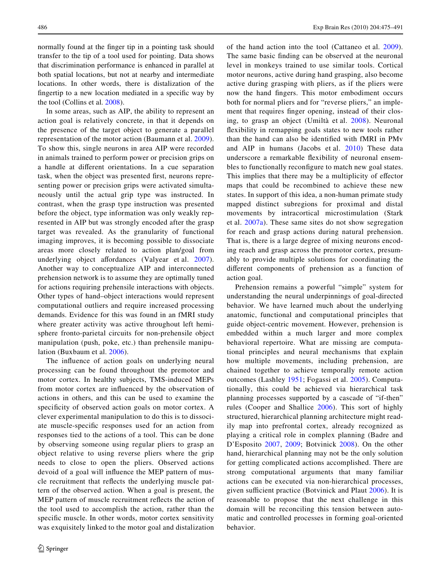normally found at the finger tip in a pointing task should transfer to the tip of a tool used for pointing. Data shows that discrimination performance is enhanced in parallel at both spatial locations, but not at nearby and intermediate locations. In other words, there is distalization of the fingertip to a new location mediated in a specific way by the tool (Collins et al. [2008](#page-13-36)).

In some areas, such as AIP, the ability to represent an action goal is relatively concrete, in that it depends on the presence of the target object to generate a parallel representation of the motor action (Baumann et al. [2009\)](#page-12-34). To show this, single neurons in area AIP were recorded in animals trained to perform power or precision grips on a handle at different orientations. In a cue separation task, when the object was presented first, neurons representing power or precision grips were activated simultaneously until the actual grip type was instructed. In contrast, when the grasp type instruction was presented before the object, type information was only weakly represented in AIP but was strongly encoded after the grasp target was revealed. As the granularity of functional imaging improves, it is becoming possible to dissociate areas more closely related to action plan/goal from underlying object affordances (Valyear et al. [2007\)](#page-15-39). Another way to conceptualize AIP and interconnected prehension network is to assume they are optimally tuned for actions requiring prehensile interactions with objects. Other types of hand–object interactions would represent computational outliers and require increased processing demands. Evidence for this was found in an fMRI study where greater activity was active throughout left hemisphere fronto-parietal circuits for non-prehensile object manipulation (push, poke, etc.) than prehensile manipulation (Buxbaum et al. [2006\)](#page-12-35).

The influence of action goals on underlying neural processing can be found throughout the premotor and motor cortex. In healthy subjects, TMS-induced MEPs from motor cortex are influenced by the observation of actions in others, and this can be used to examine the specificity of observed action goals on motor cortex. A clever experimental manipulation to do this is to dissociate muscle-specific responses used for an action from responses tied to the actions of a tool. This can be done by observing someone using regular pliers to grasp an object relative to using reverse pliers where the grip needs to close to open the pliers. Observed actions devoid of a goal will influence the MEP pattern of muscle recruitment that reflects the underlying muscle pattern of the observed action. When a goal is present, the MEP pattern of muscle recruitment reflects the action of the tool used to accomplish the action, rather than the specific muscle. In other words, motor cortex sensitivity was exquisitely linked to the motor goal and distalization of the hand action into the tool (Cattaneo et al. [2009](#page-12-8)). The same basic finding can be observed at the neuronal level in monkeys trained to use similar tools. Cortical motor neurons, active during hand grasping, also become active during grasping with pliers, as if the pliers were now the hand fingers. This motor embodiment occurs both for normal pliers and for "reverse pliers," an implement that requires finger opening, instead of their closing, to grasp an object (Umiltà et al. [2008\)](#page-15-40). Neuronal flexibility in remapping goals states to new tools rather than the hand can also be identified with fMRI in PM<sub>V</sub> and AIP in humans (Jacobs et al. [2010\)](#page-13-37) These data underscore a remarkable flexibility of neuronal ensembles to functionally reconfigure to match new goal states. This implies that there may be a multiplicity of effector maps that could be recombined to achieve these new states. In support of this idea, a non-human primate study mapped distinct subregions for proximal and distal movements by intracortical microstimulation (Stark et al. [2007a](#page-15-14)). These same sites do not show segregation for reach and grasp actions during natural prehension. That is, there is a large degree of mixing neurons encoding reach and grasp across the premotor cortex, presumably to provide multiple solutions for coordinating the different components of prehension as a function of action goal.

Prehension remains a powerful "simple" system for understanding the neural underpinnings of goal-directed behavior. We have learned much about the underlying anatomic, functional and computational principles that guide object-centric movement. However, prehension is embedded within a much larger and more complex behavioral repertoire. What are missing are computational principles and neural mechanisms that explain how multiple movements, including prehension, are chained together to achieve temporally remote action outcomes (Lashley [1951;](#page-14-44) Fogassi et al. [2005\)](#page-13-38). Computationally, this could be achieved via hierarchical task planning processes supported by a cascade of "if-then" rules (Cooper and Shallice [2006](#page-13-39)). This sort of highly structured, hierarchical planning architecture might readily map into prefrontal cortex, already recognized as playing a critical role in complex planning (Badre and D'Esposito [2007](#page-12-36), [2009;](#page-12-37) Botvinick [2008\)](#page-12-38). On the other hand, hierarchical planning may not be the only solution for getting complicated actions accomplished. There are strong computational arguments that many familiar actions can be executed via non-hierarchical processes, given sufficient practice (Botvinick and Plaut  $2006$ ). It is reasonable to propose that the next challenge in this domain will be reconciling this tension between automatic and controlled processes in forming goal-oriented behavior.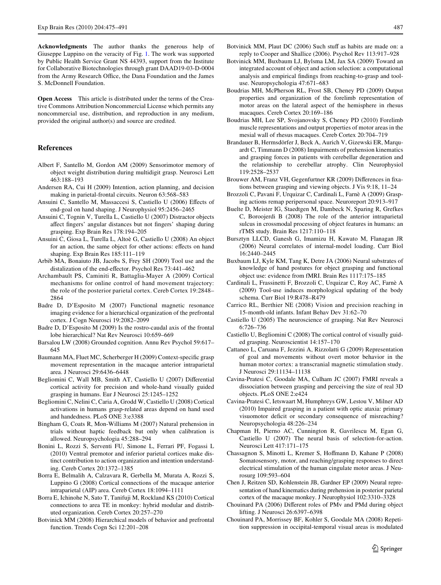**Acknowledgments** The author thanks the generous help of Giuseppe Luppino on the veracity of Fig. [1.](#page-4-0) The work was supported by Public Health Service Grant NS 44393, support from the Institute for Collaborative Biotechnologies through grant DAAD19-03-D-0004 from the Army Research Office, the Dana Foundation and the James S. McDonnell Foundation.

**Open Access** This article is distributed under the terms of the Creative Commons Attribution Noncommercial License which permits any noncommercial use, distribution, and reproduction in any medium, provided the original author(s) and source are credited.

#### **References**

- <span id="page-12-5"></span>Albert F, Santello M, Gordon AM (2009) Sensorimotor memory of object weight distribution during multidigit grasp. Neurosci Lett 463:188–193
- <span id="page-12-25"></span>Andersen RA, Cui H (2009) Intention, action planning, and decision making in parietal-frontal circuits. Neuron 63:568–583
- <span id="page-12-2"></span>Ansuini C, Santello M, Massaccesi S, Castiello U (2006) Effects of end-goal on hand shaping. J Neurophysiol 95:2456–2465
- <span id="page-12-4"></span>Ansuini C, Tognin V, Turella L, Castiello U (2007) Distractor objects affect fingers' angular distances but not fingers' shaping during grasping. Exp Brain Res 178:194–205
- <span id="page-12-3"></span>Ansuini C, Giosa L, Turella L, Altoè G, Castiello U (2008) An object for an action, the same object for other actions: effects on hand shaping. Exp Brain Res 185:111–119
- <span id="page-12-33"></span>Arbib MA, Bonaiuto JB, Jacobs S, Frey SH (2009) Tool use and the distalization of the end-effector. Psychol Res 73:441-462
- <span id="page-12-29"></span>Archambault PS, Caminiti R, Battaglia-Mayer A (2009) Cortical mechanisms for online control of hand movement trajectory: the role of the posterior parietal cortex. Cereb Cortex 19:2848– 2864
- <span id="page-12-36"></span>Badre D, D'Esposito M (2007) Functional magnetic resonance imaging evidence for a hierarchical organization of the prefrontal cortex. J Cogn Neurosci 19:2082–2099
- <span id="page-12-37"></span>Badre D, D'Esposito M (2009) Is the rostro-caudal axis of the frontal lobe hierarchical? Nat Rev Neurosci 10:659–669
- <span id="page-12-31"></span>Barsalou LW (2008) Grounded cognition. Annu Rev Psychol 59:617– 645
- <span id="page-12-34"></span>Baumann MA, Fluet MC, Scherberger H (2009) Context-specific grasp movement representation in the macaque anterior intraparietal area. J Neurosci 29:6436–6448
- <span id="page-12-15"></span>Begliomini C, Wall MB, Smith AT, Castiello U (2007) Differential cortical activity for precision and whole-hand visually guided grasping in humans. Eur J Neurosci 25:1245–1252
- <span id="page-12-13"></span>Begliomini C, Nelini C, Caria A, Grodd W, Castiello U (2008) Cortical activations in humans grasp-related areas depend on hand used and handedness. PLoS ONE 3:e3388
- <span id="page-12-23"></span>Bingham G, Coats R, Mon-Williams M (2007) Natural prehension in trials without haptic feedback but only when calibration is allowed. Neuropsychologia 45:288–294
- <span id="page-12-12"></span>Bonini L, Rozzi S, Serventi FU, Simone L, Ferrari PF, Fogassi L (2010) Ventral premotor and inferior parietal cortices make distinct contribution to action organization and intention understanding. Cereb Cortex 20:1372–1385
- <span id="page-12-14"></span>Borra E, Belmalih A, Calzavara R, Gerbella M, Murata A, Rozzi S, Luppino G (2008) Cortical connections of the macaque anterior intraparietal (AIP) area. Cereb Cortex 18:1094–1111
- <span id="page-12-20"></span>Borra E, Ichinohe N, Sato T, Tanifuji M, Rockland KS (2010) Cortical connections to area TE in monkey: hybrid modular and distributed organization. Cereb Cortex 20:257–270
- <span id="page-12-38"></span>Botvinick MM (2008) Hierarchical models of behavior and prefrontal function. Trends Cogn Sci 12:201–208
- <span id="page-12-39"></span>Botvinick MM, Plaut DC (2006) Such stuff as habits are made on: a reply to Cooper and Shallice (2006). Psychol Rev 113:917–928
- <span id="page-12-30"></span>Botvinick MM, Buxbaum LJ, Bylsma LM, Jax SA (2009) Toward an integrated account of object and action selection: a computational analysis and empirical findings from reaching-to-grasp and tooluse. Neuropsychologia 47:671–683
- <span id="page-12-6"></span>Boudrias MH, McPherson RL, Frost SB, Cheney PD (2009) Output properties and organization of the forelimb representation of motor areas on the lateral aspect of the hemisphere in rhesus macaques. Cereb Cortex 20:169–186
- <span id="page-12-10"></span>Boudrias MH, Lee SP, Svojanovsky S, Cheney PD (2010) Forelimb muscle representations and output properties of motor areas in the mesial wall of rhesus macaques. Cereb Cortex 20:704–719
- <span id="page-12-26"></span>Brandauer B, Hermsdörfer J, Beck A, Aurich V, Gizewski ER, Marquardt C, Timmann D (2008) Impairments of prehension kinematics and grasping forces in patients with cerebellar degeneration and the relationship to cerebellar atrophy. Clin Neurophysiol 119:2528–2537
- <span id="page-12-19"></span>Brouwer AM, Franz VH, Gegenfurtner KR (2009) Differences in fixations between grasping and viewing objects. J Vis 9:18, 11–24
- <span id="page-12-24"></span>Brozzoli C, Pavani F, Urquizar C, Cardinali L, Farnè A (2009) Grasping actions remap peripersonal space. Neuroreport 20:913–917
- <span id="page-12-16"></span>Buelte D, Meister IG, Staedtgen M, Dambeck N, Sparing R, Grefkes C, Boroojerdi B (2008) The role of the anterior intraparietal sulcus in crossmodal processing of object features in humans: an rTMS study. Brain Res 1217:110–118
- <span id="page-12-27"></span>Bursztyn LLCD, Ganesh G, Imamizu H, Kawato M, Flanagan JR (2006) Neural correlates of internal-model loading. Curr Biol 16:2440–2445
- <span id="page-12-35"></span>Buxbaum LJ, Kyle KM, Tang K, Detre JA (2006) Neural substrates of knowledge of hand postures for object grasping and functional object use: evidence from fMRI. Brain Res 1117:175–185
- <span id="page-12-32"></span>Cardinali L, Frassinetti F, Brozzoli C, Urquizar C, Roy AC, Farnè A (2009) Tool-use induces morphological updating of the body schema. Curr Biol 19:R478–R479
- <span id="page-12-22"></span>Carrico RL, Berthier NE (2008) Vision and precision reaching in 15-month-old infants. Infant Behav Dev 31:62–70
- <span id="page-12-0"></span>Castiello U (2005) The neuroscience of grasping. Nat Rev Neurosci 6:726–736
- <span id="page-12-1"></span>Castiello U, Begliomini C (2008) The cortical control of visually guided grasping. Neuroscientist 14:157–170
- <span id="page-12-8"></span>Cattaneo L, Caruana F, Jezzini A, Rizzolatti G (2009) Representation of goal and movements without overt motor behavior in the human motor cortex: a transcranial magnetic stimulation study. J Neurosci 29:11134–11138
- <span id="page-12-11"></span>Cavina-Pratesi C, Goodale MA, Culham JC (2007) FMRI reveals a dissociation between grasping and perceiving the size of real 3D objects. PLoS ONE 2:e424
- <span id="page-12-18"></span>Cavina-Pratesi C, Ietswaart M, Humphreys GW, Lestou V, Milner AD (2010) Impaired grasping in a patient with optic ataxia: primary visuomotor deficit or secondary consequence of misreaching? Neuropsychologia 48:226–234
- <span id="page-12-17"></span>Chapman H, Pierno AC, Cunnington R, Gavrilescu M, Egan G, Castiello U (2007) The neural basis of selection-for-action. Neurosci Lett 417:171–175
- <span id="page-12-9"></span>Chassagnon S, Minotti L, Kremer S, Hoffmann D, Kahane P (2008) Somatosensory, motor, and reaching/grasping responses to direct electrical stimulation of the human cingulate motor areas. J Neurosurg 109:593–604
- <span id="page-12-28"></span>Chen J, Reitzen SD, Kohlenstein JB, Gardner EP (2009) Neural representation of hand kinematics during prehension in posterior parietal cortex of the macaque monkey. J Neurophysiol 102:3310–3328
- <span id="page-12-7"></span>Chouinard PA (2006) Different roles of PMv and PMd during object lifting. J Neurosci 26:6397–6398
- <span id="page-12-21"></span>Chouinard PA, Morrissey BF, Kohler S, Goodale MA (2008) Repetition suppression in occipital-temporal visual areas is modulated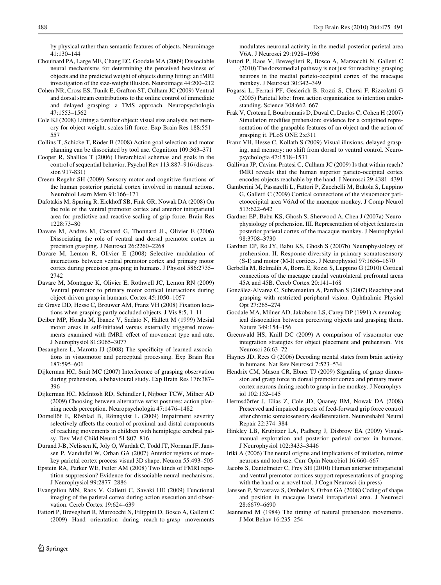by physical rather than semantic features of objects. Neuroimage 41:130–144

- <span id="page-13-7"></span>Chouinard PA, Large ME, Chang EC, Goodale MA (2009) Dissociable neural mechanisms for determining the perceived heaviness of objects and the predicted weight of objects during lifting: an fMRI investigation of the size-weight illusion. Neuroimage 44:200–212
- <span id="page-13-29"></span>Cohen NR, Cross ES, Tunik E, Grafton ST, Culham JC (2009) Ventral and dorsal stream contributions to the online control of immediate and delayed grasping: a TMS approach. Neuropsychologia 47:1553–1562
- <span id="page-13-2"></span>Cole KJ (2008) Lifting a familiar object: visual size analysis, not memory for object weight, scales lift force. Exp Brain Res 188:551– 557
- <span id="page-13-36"></span>Collins T, Schicke T, Röder B (2008) Action goal selection and motor planning can be dissociated by tool use. Cognition 109:363–371
- <span id="page-13-39"></span>Cooper R, Shallice T (2006) Hierarchical schemas and goals in the control of sequential behavior. Psychol Rev 113:887–916 (discussion 917-831)
- <span id="page-13-12"></span>Creem-Regehr SH (2009) Sensory-motor and cognitive functions of the human posterior parietal cortex involved in manual actions. Neurobiol Learn Mem 91:166–171
- <span id="page-13-3"></span>Dafotakis M, Sparing R, Eickhoff SB, Fink GR, Nowak DA (2008) On the role of the ventral premotor cortex and anterior intraparietal area for predictive and reactive scaling of grip force. Brain Res 1228:73–80
- <span id="page-13-5"></span>Davare M, Andres M, Cosnard G, Thonnard JL, Olivier E (2006) Dissociating the role of ventral and dorsal premotor cortex in precision grasping. J Neurosci 26:2260–2268
- <span id="page-13-4"></span>Davare M, Lemon R, Olivier E (2008) Selective modulation of interactions between ventral premotor cortex and primary motor cortex during precision grasping in humans. J Physiol 586:2735– 2742
- <span id="page-13-6"></span>Davare M, Montague K, Olivier E, Rothwell JC, Lemon RN (2009) Ventral premotor to primary motor cortical interactions during object-driven grasp in humans. Cortex 45:1050–1057
- <span id="page-13-21"></span>de Grave DD, Hesse C, Brouwer AM, Franz VH (2008) Fixation locations when grasping partly occluded objects. J Vis 8:5, 1–11
- <span id="page-13-10"></span>Deiber MP, Honda M, Ibanez V, Sadato N, Hallett M (1999) Mesial motor areas in self-initiated versus externally triggered movements examined with fMRI: effect of movement type and rate. J Neurophysiol 81:3065–3077
- <span id="page-13-30"></span>Desanghere L, Marotta JJ (2008) The specificity of learned associations in visuomotor and perceptual processing. Exp Brain Res 187:595–601
- <span id="page-13-33"></span>Dijkerman HC, Smit MC (2007) Interference of grasping observation during prehension, a behavioural study. Exp Brain Res 176:387– 396
- <span id="page-13-27"></span>Dijkerman HC, McIntosh RD, Schindler I, Nijboer TCW, Milner AD (2009) Choosing between alternative wrist postures: action planning needs perception. Neuropsychologia 47:1476–1482
- <span id="page-13-8"></span>Domellöf E, Rösblad B, Rönnqvist L (2009) Impairment severity selectively affects the control of proximal and distal components of reaching movements in children with hemiplegic cerebral palsy. Dev Med Child Neurol 51:807–816
- <span id="page-13-15"></span>Durand J-B, Nelissen K, Joly O, Wardak C, Todd JT, Norman JF, Janssen P, Vanduffel W, Orban GA (2007) Anterior regions of monkey parietal cortex process visual 3D shape. Neuron 55:493–505
- <span id="page-13-24"></span>Epstein RA, Parker WE, Feiler AM (2008) Two kinds of FMRI repetition suppression? Evidence for dissociable neural mechanisms. J Neurophysiol 99:2877–2886
- <span id="page-13-13"></span>Evangeliou MN, Raos V, Galletti C, Savaki HE (2009) Functional imaging of the parietal cortex during action execution and observation. Cereb Cortex 19:624–639
- <span id="page-13-17"></span>Fattori P, Breveglieri R, Marzocchi N, Filippini D, Bosco A, Galletti C (2009) Hand orientation during reach-to-grasp movements

modulates neuronal activity in the medial posterior parietal area V6A. J Neurosci 29:1928–1936

- <span id="page-13-18"></span>Fattori P, Raos V, Breveglieri R, Bosco A, Marzocchi N, Galletti C (2010) The dorsomedial pathway is not just for reaching: grasping neurons in the medial parieto-occipital cortex of the macaque monkey. J Neurosci 30:342–349
- <span id="page-13-38"></span>Fogassi L, Ferrari PF, Gesierich B, Rozzi S, Chersi F, Rizzolatti G (2005) Parietal lobe: from action organization to intention understanding. Science 308:662–667
- <span id="page-13-34"></span>Frak V, Croteau I, Bourbonnais D, Duval C, Duclos C, Cohen H (2007) Simulation modifies prehension: evidence for a conjoined representation of the graspable features of an object and the action of grasping it. PLoS ONE 2:e311
- <span id="page-13-28"></span>Franz VH, Hesse C, Kollath S (2009) Visual illusions, delayed grasping, and memory: no shift from dorsal to ventral control. Neuropsychologia 47:1518–1531
- <span id="page-13-19"></span>Gallivan JP, Cavina-Pratesi C, Culham JC (2009) Is that within reach? fMRI reveals that the human superior parieto-occipital cortex encodes objects reachable by the hand. J Neurosci 29:4381–4391
- <span id="page-13-16"></span>Gamberini M, Passarelli L, Fattori P, Zucchelli M, Bakola S, Luppino G, Galletti C (2009) Cortical connections of the visuomotor parietooccipital area V6Ad of the macaque monkey. J Comp Neurol 513:622–642
- <span id="page-13-31"></span>Gardner EP, Babu KS, Ghosh S, Sherwood A, Chen J (2007a) Neurophysiology of prehension. III. Representation of object features in posterior parietal cortex of the macaque monkey. J Neurophysiol 98:3708–3730
- <span id="page-13-32"></span>Gardner EP, Ro JY, Babu KS, Ghosh S (2007b) Neurophysiology of prehension. II. Response diversity in primary somatosensory (S-I) and motor (M-I) cortices. J Neurophysiol 97:1656–1670
- <span id="page-13-26"></span>Gerbella M, Belmalih A, Borra E, Rozzi S, Luppino G (2010) Cortical connections of the macaque caudal ventrolateral prefrontal areas 45A and 45B. Cereb Cortex 20:141–168
- <span id="page-13-20"></span>González-Alvarez C, Subramanian A, Pardhan S (2007) Reaching and grasping with restricted peripheral vision. Ophthalmic Physiol Opt 27:265–274
- <span id="page-13-11"></span>Goodale MA, Milner AD, Jakobson LS, Carey DP (1991) A neurological dissociation between perceiving objects and grasping them. Nature 349:154–156
- <span id="page-13-14"></span>Greenwald HS, Knill DC (2009) A comparison of visuomotor cue integration strategies for object placement and prehension. Vis Neurosci 26:63–72
- <span id="page-13-25"></span>Haynes JD, Rees G (2006) Decoding mental states from brain activity in humans. Nat Rev Neurosci 7:523–534
- <span id="page-13-9"></span>Hendrix CM, Mason CR, Ebner TJ (2009) Signaling of grasp dimension and grasp force in dorsal premotor cortex and primary motor cortex neurons during reach to grasp in the monkey. J Neurophysiol 102:132–145
- <span id="page-13-1"></span>Hermsdörfer J, Elias Z, Cole JD, Quaney BM, Nowak DA (2008) Preserved and impaired aspects of feed-forward grip force control after chronic somatosensory deafferentation. Neurorehabil Neural Repair 22:374–384
- <span id="page-13-23"></span>Hinkley LB, Krubitzer LA, Padberg J, Disbrow EA (2009) Visualmanual exploration and posterior parietal cortex in humans. J Neurophysiol 102:3433–3446
- <span id="page-13-35"></span>Iriki A (2006) The neural origins and implications of imitation, mirror neurons and tool use. Curr Opin Neurobiol 16:660–667
- <span id="page-13-37"></span>Jacobs S, Danielmeier C, Frey SH (2010) Human anterior intraparietal and ventral premotor cortices support representations of grasping with the hand or a novel tool. J Cogn Neurosci (in press)
- <span id="page-13-22"></span>Janssen P, Srivastava S, Ombelet S, Orban GA (2008) Coding of shape and position in macaque lateral intraparietal area. J Neurosci 28:6679–6690
- <span id="page-13-0"></span>Jeannerod M (1984) The timing of natural prehension movements. J Mot Behav 16:235–254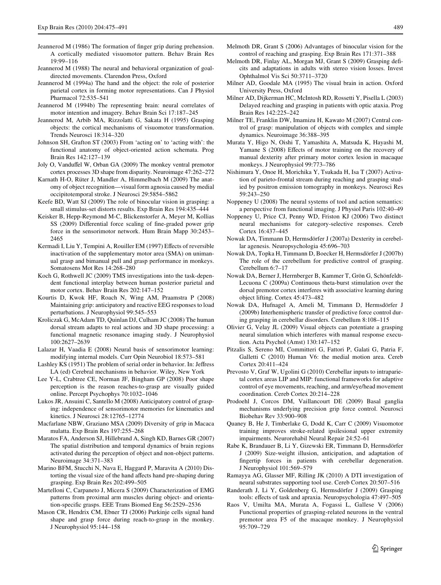- <span id="page-14-0"></span>Jeannerod M (1986) The formation of finger grip during prehension. A cortically mediated visuomotor pattern. Behav Brain Res 19:99–116
- <span id="page-14-2"></span>Jeannerod M (1988) The neural and behavioral organization of goaldirected movements. Clarendon Press, Oxford
- <span id="page-14-3"></span>Jeannerod M (1994a) The hand and the object: the role of posterior parietal cortex in forming motor representations. Can J Physiol Pharmacol 72:535–541
- <span id="page-14-1"></span>Jeannerod M (1994b) The representing brain: neural correlates of motor intention and imagery. Behav Brain Sci 17:187–245
- <span id="page-14-4"></span>Jeannerod M, Arbib MA, Rizzolatti G, Sakata H (1995) Grasping objects: the cortical mechanisms of visuomotor transformation. Trends Neurosci 18:314–320
- <span id="page-14-20"></span>Johnson SH, Grafton ST (2003) From 'acting on' to 'acting with': the functional anatomy of object-oriented action schemata. Prog Brain Res 142:127–139
- <span id="page-14-11"></span>Joly O, Vanduffel W, Orban GA (2009) The monkey ventral premotor cortex processes 3D shape from disparity. Neuroimage 47:262–272
- <span id="page-14-18"></span>Karnath H-O, Rüter J, Mandler A, Himmelbach M (2009) The anatomy of object recognition—visual form agnosia caused by medial occipitotemporal stroke. J Neurosci 29:5854–5862
- <span id="page-14-21"></span>Keefe BD, Watt SJ (2009) The role of binocular vision in grasping: a small stimulus-set distorts results. Exp Brain Res 194:435–444
- <span id="page-14-36"></span>Keisker B, Hepp-Reymond M-C, Blickenstorfer A, Meyer M, Kollias SS (2009) Differential force scaling of fine-graded power grip force in the sensorimotor network. Hum Brain Mapp 30:2453– 2465
- <span id="page-14-16"></span>Kermadi I, Liu Y, Tempini A, Rouiller EM (1997) Effects of reversible inactivation of the supplementary motor area (SMA) on unimanual grasp and bimanual pull and grasp performance in monkeys. Somatosens Mot Res 14:268–280
- <span id="page-14-39"></span>Koch G, Rothwell JC (2009) TMS investigations into the task-dependent functional interplay between human posterior parietal and motor cortex. Behav Brain Res 202:147–152
- <span id="page-14-38"></span>Kourtis D, Kwok HF, Roach N, Wing AM, Praamstra P (2008) Maintaining grip: anticipatory and reactive EEG responses to load perturbations. J Neurophysiol 99:545–553
- <span id="page-14-12"></span>Kroliczak G, McAdam TD, Quinlan DJ, Culham JC (2008) The human dorsal stream adapts to real actions and 3D shape processing: a functional magnetic resonance imaging study. J Neurophysiol 100:2627–2639
- <span id="page-14-29"></span>Lalazar H, Vaadia E (2008) Neural basis of sensorimotor learning: modifying internal models. Curr Opin Neurobiol 18:573–581
- <span id="page-14-44"></span>Lashley KS (1951) The problem of serial order in behavior. In: Jeffress LA (ed) Cerebral mechanisms in behavior. Wiley, New York
- <span id="page-14-23"></span>Lee Y-L, Crabtree CE, Norman JF, Bingham GP (2008) Poor shape perception is the reason reaches-to-grasp are visually guided online. Percept Psychophys 70:1032–1046
- <span id="page-14-10"></span>Lukos JR, Ansuini C, Santello M (2008) Anticipatory control of grasping: independence of sensorimotor memories for kinematics and kinetics. J Neurosci 28:12765–12774
- <span id="page-14-5"></span>Macfarlane NBW, Graziano MSA (2009) Diversity of grip in Macaca mulatta. Exp Brain Res 197:255–268
- <span id="page-14-24"></span>Maratos FA, Anderson SJ, Hillebrand A, Singh KD, Barnes GR (2007) The spatial distribution and temporal dynamics of brain regions activated during the perception of object and non-object patterns. Neuroimage 34:371–383
- <span id="page-14-43"></span>Marino BFM, Stucchi N, Nava E, Haggard P, Maravita A (2010) Distorting the visual size of the hand affects hand pre-shaping during grasping. Exp Brain Res 202:499–505
- <span id="page-14-6"></span>Martelloni C, Carpaneto J, Micera S (2009) Characterization of EMG patterns from proximal arm muscles during object- and orientation-specific grasps. EEE Trans Biomed Eng 56:2529-2536
- <span id="page-14-35"></span>Mason CR, Hendrix CM, Ebner TJ (2006) Purkinje cells signal hand shape and grasp force during reach-to-grasp in the monkey. J Neurophysiol 95:144–158
- <span id="page-14-31"></span>Melmoth DR, Grant S (2006) Advantages of binocular vision for the control of reaching and grasping. Exp Brain Res 171:371–388
- <span id="page-14-22"></span>Melmoth DR, Finlay AL, Morgan MJ, Grant S (2009) Grasping deficits and adaptations in adults with stereo vision losses. Invest Ophthalmol Vis Sci 50:3711–3720
- <span id="page-14-17"></span>Milner AD, Goodale MA (1995) The visual brain in action. Oxford University Press, Oxford
- <span id="page-14-28"></span>Milner AD, Dijkerman HC, McIntosh RD, Rossetti Y, Pisella L (2003) Delayed reaching and grasping in patients with optic ataxia. Prog Brain Res 142:225–242
- <span id="page-14-37"></span>Milner TE, Franklin DW, Imamizu H, Kawato M (2007) Central control of grasp: manipulation of objects with complex and simple dynamics. Neuroimage 36:388–395
- <span id="page-14-15"></span>Murata Y, Higo N, Oishi T, Yamashita A, Matsuda K, Hayashi M, Yamane S (2008) Effects of motor training on the recovery of manual dexterity after primary motor cortex lesion in macaque monkeys. J Neurophysiol 99:773–786
- <span id="page-14-19"></span>Nishimura Y, Onoe H, Morichika Y, Tsukada H, Isa T (2007) Activation of parieto-frontal stream during reaching and grasping studied by positron emission tomography in monkeys. Neurosci Res 59:243–250
- <span id="page-14-27"></span>Noppeney U (2008) The neural systems of tool and action semantics: a perspective from functional imaging. J Physiol Paris 102:40–49
- <span id="page-14-42"></span>Noppeney U, Price CJ, Penny WD, Friston KJ (2006) Two distinct neural mechanisms for category-selective responses. Cereb Cortex 16:437–445
- <span id="page-14-34"></span>Nowak DA, Timmann D, Hermsdörfer J (2007a) Dexterity in cerebellar agenesis. Neuropsychologia 45:696–703
- <span id="page-14-33"></span>Nowak DA, Topka H, Timmann D, Boecker H, Hermsdörfer J (2007b) The role of the cerebellum for predictive control of grasping. Cerebellum 6:7–17
- <span id="page-14-14"></span>Nowak DA, Berner J, Herrnberger B, Kammer T, Grön G, Schönfeldt-Lecuona C (2009a) Continuous theta-burst stimulation over the dorsal premotor cortex interferes with associative learning during object lifting. Cortex 45:473–482
- <span id="page-14-30"></span>Nowak DA, Hufnagel A, Ameli M, Timmann D, Hermsdörfer J (2009b) Interhemispheric transfer of predictive force control during grasping in cerebellar disorders. Cerebellum 8:108–115
- <span id="page-14-32"></span>Olivier G, Velay JL (2009) Visual objects can potentiate a grasping neural simulation which interferes with manual response execution. Acta Psychol (Amst) 130:147–152
- <span id="page-14-25"></span>Pitzalis S, Sereno MI, Committeri G, Fattori P, Galati G, Patria F, Galletti C (2010) Human V6: the medial motion area. Cereb Cortex 20:411–424
- <span id="page-14-40"></span>Prevosto V, Graf W, Ugolini G (2010) Cerebellar inputs to intraparietal cortex areas LIP and MIP: functional frameworks for adaptive control of eye movements, reaching, and arm/eye/head movement coordination. Cereb Cortex 20:214–228
- <span id="page-14-9"></span>Prodoehl J, Corcos DM, Vaillancourt DE (2009) Basal ganglia mechanisms underlying precision grip force control. Neurosci Biobehav Rev 33:900–908
- <span id="page-14-7"></span>Quaney B, He J, Timberlake G, Dodd K, Carr C (2009) Visuomotor training improves stroke-related ipsilesional upper extremity impairments. Neurorehabil Neural Repair 24:52–61
- <span id="page-14-8"></span>Rabe K, Brandauer B, Li Y, Gizewski ER, Timmann D, Hermsdörfer J (2009) Size-weight illusion, anticipation, and adaptation of fingertip forces in patients with cerebellar degeneration. J Neurophysiol 101:569–579
- <span id="page-14-26"></span>Ramayya AG, Glasser MF, Rilling JK (2010) A DTI investigation of neural substrates supporting tool use. Cereb Cortex 20:507–516
- <span id="page-14-41"></span>Randerath J, Li Y, Goldenberg G, Hermsdörfer J (2009) Grasping tools: effects of task and apraxia. Neuropsychologia 47:497-505
- <span id="page-14-13"></span>Raos V, Umilta MA, Murata A, Fogassi L, Gallese V (2006) Functional properties of grasping-related neurons in the ventral premotor area F5 of the macaque monkey. J Neurophysiol 95:709–729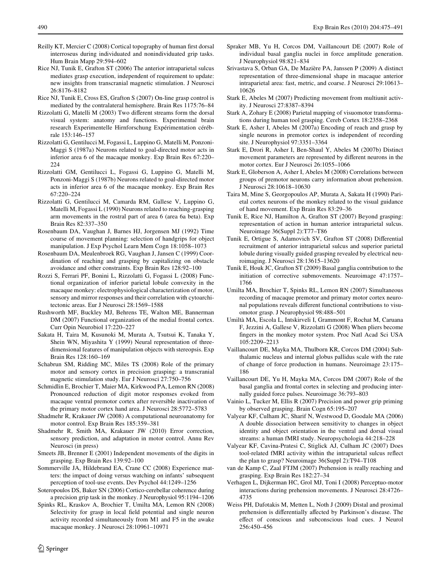- <span id="page-15-20"></span>Reilly KT, Mercier C  $(2008)$  Cortical topography of human first dorsal interroseus during individuated and nonindividuated grip tasks. Hum Brain Mapp 29:594–602
- <span id="page-15-33"></span>Rice NJ, Tunik E, Grafton ST (2006) The anterior intraparietal sulcus mediates grasp execution, independent of requirement to update: new insights from transcranial magnetic stimulation. J Neurosci 26:8176–8182
- <span id="page-15-34"></span>Rice NJ, Tunik E, Cross ES, Grafton S (2007) On-line grasp control is mediated by the contralateral hemisphere. Brain Res 1175:76–84
- <span id="page-15-23"></span>Rizzolatti G, Matelli M (2003) Two different streams form the dorsal visual system: anatomy and functions. Experimental brain research Experimentelle Hirnforschung Expérimentation cérébrale 153:146–157
- <span id="page-15-1"></span>Rizzolatti G, Gentilucci M, Fogassi L, Luppino G, Matelli M, Ponzoni-Maggi S (1987a) Neurons related to goal-directed motor acts in inferior area 6 of the macaque monkey. Exp Brain Res 67:220– 224
- <span id="page-15-12"></span>Rizzolatti GM, Gentilucci L, Fogassi G, Luppino G, Matelli M, Ponzoni-Maggi S (1987b) Neurons related to goal-directed motor acts in inferior area 6 of the macaque monkey. Exp Brain Res 67:220–224
- <span id="page-15-2"></span>Rizzolatti G, Gentilucci M, Camarda RM, Gallese V, Luppino G, Matelli M, Fogassi L (1990) Neurons related to reaching-grasping arm movements in the rostral part of area 6 (area 6a beta). Exp Brain Res 82:337–350
- <span id="page-15-30"></span>Rosenbaum DA, Vaughan J, Barnes HJ, Jorgensen MJ (1992) Time course of movement planning: selection of handgrips for object manipulation. J Exp Psychol Learn Mem Cogn 18:1058–1073
- <span id="page-15-36"></span>Rosenbaum DA, Meulenbroek RG, Vaughan J, Jansen C (1999) Coordination of reaching and grasping by capitalizing on obstacle avoidance and other constraints. Exp Brain Res 128:92–100
- <span id="page-15-24"></span>Rozzi S, Ferrari PF, Bonini L, Rizzolatti G, Fogassi L (2008) Functional organization of inferior parietal lobule convexity in the macaque monkey: electrophysiological characterization of motor, sensory and mirror responses and their correlation with cytoarchitectonic areas. Eur J Neurosci 28:1569–1588
- <span id="page-15-21"></span>Rushworth MF, Buckley MJ, Behrens TE, Walton ME, Bannerman DM (2007) Functional organization of the medial frontal cortex. Curr Opin Neurobiol 17:220–227
- <span id="page-15-27"></span>Sakata H, Taira M, Kusunoki M, Murata A, Tsutsui K, Tanaka Y, Shein WN, Miyashita Y (1999) Neural representation of threedimensional features of manipulation objects with stereopsis. Exp Brain Res 128:160–169
- <span id="page-15-31"></span>Schabrun SM, Ridding MC, Miles TS (2008) Role of the primary motor and sensory cortex in precision grasping: a transcranial magnetic stimulation study. Eur J Neurosci 27:750–756
- <span id="page-15-15"></span>Schmidlin E, Brochier T, Maier MA, Kirkwood PA, Lemon RN (2008) Pronounced reduction of digit motor responses evoked from macaque ventral premotor cortex after reversible inactivation of the primary motor cortex hand area. J Neurosci 28:5772–5783
- <span id="page-15-10"></span>Shadmehr R, Krakauer JW (2008) A computational neuroanatomy for motor control. Exp Brain Res 185:359–381
- <span id="page-15-11"></span>Shadmehr R, Smith MA, Krakauer JW (2010) Error correction, sensory prediction, and adaptation in motor control. Annu Rev Neurosci (in press)
- <span id="page-15-3"></span>Smeets JB, Brenner E (2001) Independent movements of the digits in grasping. Exp Brain Res 139:92–100
- <span id="page-15-38"></span>Sommerville JA, Hildebrand EA, Crane CC (2008) Experience matters: the impact of doing versus watching on infants' subsequent perception of tool-use events. Dev Psychol 44:1249–1256
- <span id="page-15-32"></span>Soteropoulos DS, Baker SN (2006) Cortico-cerebellar coherence during a precision grip task in the monkey. J Neurophysiol 95:1194–1206
- <span id="page-15-16"></span>Spinks RL, Kraskov A, Brochier T, Umilta MA, Lemon RN (2008) Selectivity for grasp in local field potential and single neuron activity recorded simultaneously from M1 and F5 in the awake macaque monkey. J Neurosci 28:10961–10971
- <span id="page-15-7"></span>Spraker MB, Yu H, Corcos DM, Vaillancourt DE (2007) Role of individual basal ganglia nuclei in force amplitude generation. J Neurophysiol 98:821–834
- <span id="page-15-28"></span>Srivastava S, Orban GA, De Mazière PA, Janssen P (2009) A distinct representation of three-dimensional shape in macaque anterior intraparietal area: fast, metric, and coarse. J Neurosci 29:10613– 10626
- <span id="page-15-13"></span>Stark E, Abeles M (2007) Predicting movement from multiunit activity. J Neurosci 27:8387–8394
- <span id="page-15-25"></span>Stark A, Zohary E (2008) Parietal mapping of visuomotor transformations during human tool grasping. Cereb Cortex 18:2358–2368
- <span id="page-15-14"></span>Stark E, Asher I, Abeles M (2007a) Encoding of reach and grasp by single neurons in premotor cortex is independent of recording site. J Neurophysiol 97:3351–3364
- <span id="page-15-19"></span>Stark E, Drori R, Asher I, Ben-Shaul Y, Abeles M (2007b) Distinct movement parameters are represented by different neurons in the motor cortex. Eur J Neurosci 26:1055–1066
- <span id="page-15-18"></span>Stark E, Globerson A, Asher I, Abeles M (2008) Correlations between groups of premotor neurons carry information about prehension. J Neurosci 28:10618–10630
- <span id="page-15-26"></span>Taira M, Mine S, Georgopoulos AP, Murata A, Sakata H (1990) Parietal cortex neurons of the monkey related to the visual guidance of hand movement. Exp Brain Res 83:29–36
- <span id="page-15-0"></span>Tunik E, Rice NJ, Hamilton A, Grafton ST (2007) Beyond grasping: representation of action in human anterior intraparietal sulcus. Neuroimage 36(Suppl 2):T77–T86
- <span id="page-15-35"></span>Tunik E, Ortigue S, Adamovich SV, Grafton ST (2008) Differential recruitment of anterior intraparietal sulcus and superior parietal lobule during visually guided grasping revealed by electrical neuroimaging. J Neurosci 28:13615–13620
- <span id="page-15-8"></span>Tunik E, Houk JC, Grafton ST (2009) Basal ganglia contribution to the initiation of corrective submovements. Neuroimage 47:1757– 1766
- <span id="page-15-17"></span>Umilta MA, Brochier T, Spinks RL, Lemon RN (2007) Simultaneous recording of macaque premotor and primary motor cortex neuronal populations reveals different functional contributions to visuomotor grasp. J Neurophysiol 98:488–501
- <span id="page-15-40"></span>Umiltà MA, Escola L, Intskirveli I, Grammont F, Rochat M, Caruana F, Jezzini A, Gallese V, Rizzolatti G (2008) When pliers become fingers in the monkey motor system. Proc Natl Acad Sci USA 105:2209–2213
- <span id="page-15-5"></span>Vaillancourt DE, Mayka MA, Thulborn KR, Corcos DM (2004) Subthalamic nucleus and internal globus pallidus scale with the rate of change of force production in humans. Neuroimage 23:175– 186
- <span id="page-15-6"></span>Vaillancourt DE, Yu H, Mayka MA, Corcos DM (2007) Role of the basal ganglia and frontal cortex in selecting and producing internally guided force pulses. Neuroimage 36:793–803
- <span id="page-15-37"></span>Vainio L, Tucker M, Ellis R (2007) Precision and power grip priming by observed grasping. Brain Cogn 65:195–207
- <span id="page-15-22"></span>Valyear KF, Culham JC, Sharif N, Westwood D, Goodale MA (2006) A double dissociation between sensitivity to changes in object identity and object orientation in the ventral and dorsal visual streams: a human fMRI study. Neuropsychologia 44:218–228
- <span id="page-15-39"></span>Valyear KF, Cavina-Pratesi C, Stiglick AJ, Culham JC (2007) Does tool-related fMRI activity within the intraparietal sulcus reflect the plan to grasp? Neuroimage 36(Suppl 2):T94–T108
- <span id="page-15-4"></span>van de Kamp C, Zaal FTJM (2007) Prehension is really reaching and grasping. Exp Brain Res 182:27–34
- <span id="page-15-29"></span>Verhagen L, Dijkerman HC, Grol MJ, Toni I (2008) Perceptuo-motor interactions during prehension movements. J Neurosci 28:4726– 4735
- <span id="page-15-9"></span>Weiss PH, Dafotakis M, Metten L, Noth J (2009) Distal and proximal prehension is differentially affected by Parkinson's disease. The effect of conscious and subconscious load cues. J Neurol 256:450–456